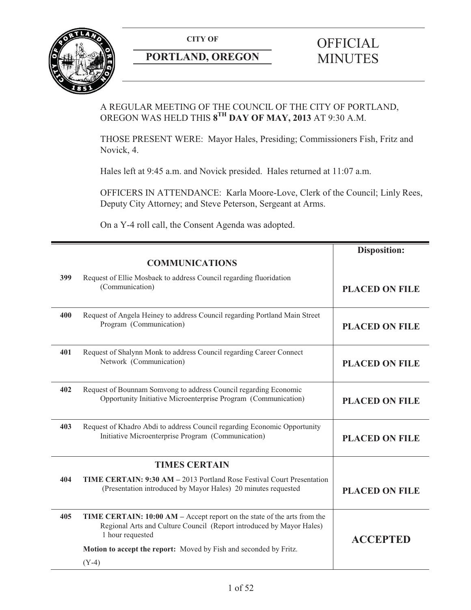

# **PORTLAND, OREGON MINUTES**

# **CITY OF** OFFICIAL

# A REGULAR MEETING OF THE COUNCIL OF THE CITY OF PORTLAND, OREGON WAS HELD THIS **8TH DAY OF MAY, 2013** AT 9:30 A.M.

THOSE PRESENT WERE: Mayor Hales, Presiding; Commissioners Fish, Fritz and Novick, 4.

Hales left at 9:45 a.m. and Novick presided. Hales returned at 11:07 a.m.

OFFICERS IN ATTENDANCE: Karla Moore-Love, Clerk of the Council; Linly Rees, Deputy City Attorney; and Steve Peterson, Sergeant at Arms.

On a Y-4 roll call, the Consent Agenda was adopted.

|     | <b>COMMUNICATIONS</b>                                                                                                                                                | <b>Disposition:</b>   |
|-----|----------------------------------------------------------------------------------------------------------------------------------------------------------------------|-----------------------|
| 399 | Request of Ellie Mosbaek to address Council regarding fluoridation<br>(Communication)                                                                                | <b>PLACED ON FILE</b> |
| 400 | Request of Angela Heiney to address Council regarding Portland Main Street<br>Program (Communication)                                                                | <b>PLACED ON FILE</b> |
| 401 | Request of Shalynn Monk to address Council regarding Career Connect<br>Network (Communication)                                                                       | <b>PLACED ON FILE</b> |
| 402 | Request of Bounnam Somvong to address Council regarding Economic<br>Opportunity Initiative Microenterprise Program (Communication)                                   | <b>PLACED ON FILE</b> |
| 403 | Request of Khadro Abdi to address Council regarding Economic Opportunity<br>Initiative Microenterprise Program (Communication)                                       | <b>PLACED ON FILE</b> |
|     | <b>TIMES CERTAIN</b>                                                                                                                                                 |                       |
| 404 | TIME CERTAIN: 9:30 AM - 2013 Portland Rose Festival Court Presentation<br>(Presentation introduced by Mayor Hales) 20 minutes requested                              | <b>PLACED ON FILE</b> |
| 405 | TIME CERTAIN: 10:00 AM – Accept report on the state of the arts from the<br>Regional Arts and Culture Council (Report introduced by Mayor Hales)<br>1 hour requested | <b>ACCEPTED</b>       |
|     | Motion to accept the report: Moved by Fish and seconded by Fritz.                                                                                                    |                       |
|     | $(Y-4)$                                                                                                                                                              |                       |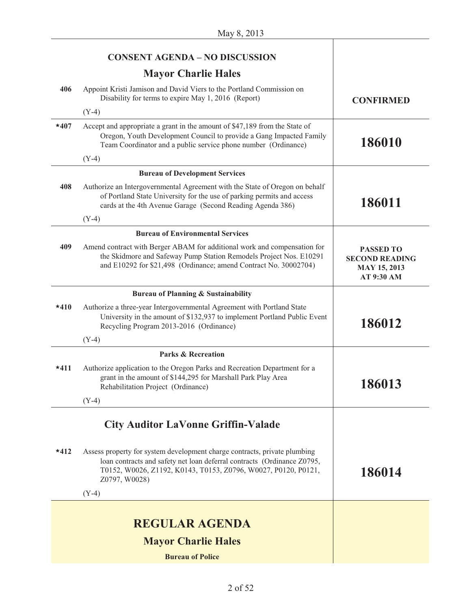|                       | <b>CONSENT AGENDA - NO DISCUSSION</b>                                                                                                                                                                                                   |                                                                                |
|-----------------------|-----------------------------------------------------------------------------------------------------------------------------------------------------------------------------------------------------------------------------------------|--------------------------------------------------------------------------------|
|                       | <b>Mayor Charlie Hales</b>                                                                                                                                                                                                              |                                                                                |
| 406                   | Appoint Kristi Jamison and David Viers to the Portland Commission on<br>Disability for terms to expire May 1, 2016 (Report)                                                                                                             | <b>CONFIRMED</b>                                                               |
|                       | $(Y-4)$                                                                                                                                                                                                                                 |                                                                                |
| $*407$                | Accept and appropriate a grant in the amount of \$47,189 from the State of<br>Oregon, Youth Development Council to provide a Gang Impacted Family<br>Team Coordinator and a public service phone number (Ordinance)                     | 186010                                                                         |
|                       | $(Y-4)$                                                                                                                                                                                                                                 |                                                                                |
|                       | <b>Bureau of Development Services</b>                                                                                                                                                                                                   |                                                                                |
| 408                   | Authorize an Intergovernmental Agreement with the State of Oregon on behalf<br>of Portland State University for the use of parking permits and access<br>cards at the 4th Avenue Garage (Second Reading Agenda 386)                     | 186011                                                                         |
|                       | $(Y-4)$                                                                                                                                                                                                                                 |                                                                                |
|                       | <b>Bureau of Environmental Services</b>                                                                                                                                                                                                 |                                                                                |
| 409                   | Amend contract with Berger ABAM for additional work and compensation for<br>the Skidmore and Safeway Pump Station Remodels Project Nos. E10291<br>and E10292 for \$21,498 (Ordinance; amend Contract No. 30002704)                      | <b>PASSED TO</b><br><b>SECOND READING</b><br><b>MAY 15, 2013</b><br>AT 9:30 AM |
|                       | <b>Bureau of Planning &amp; Sustainability</b>                                                                                                                                                                                          |                                                                                |
| $*410$                | Authorize a three-year Intergovernmental Agreement with Portland State<br>University in the amount of \$132,937 to implement Portland Public Event<br>Recycling Program 2013-2016 (Ordinance)                                           | 186012                                                                         |
|                       | $(Y-4)$                                                                                                                                                                                                                                 |                                                                                |
|                       | <b>Parks &amp; Recreation</b>                                                                                                                                                                                                           |                                                                                |
| $*411$                | Authorize application to the Oregon Parks and Recreation Department for a<br>grant in the amount of \$144,295 for Marshall Park Play Area<br>Rehabilitation Project (Ordinance)                                                         | 186013                                                                         |
|                       | $(Y-4)$                                                                                                                                                                                                                                 |                                                                                |
|                       | <b>City Auditor LaVonne Griffin-Valade</b>                                                                                                                                                                                              |                                                                                |
| $*412$                | Assess property for system development charge contracts, private plumbing<br>loan contracts and safety net loan deferral contracts (Ordinance Z0795,<br>T0152, W0026, Z1192, K0143, T0153, Z0796, W0027, P0120, P0121,<br>Z0797, W0028) | 186014                                                                         |
|                       | $(Y-4)$                                                                                                                                                                                                                                 |                                                                                |
|                       |                                                                                                                                                                                                                                         |                                                                                |
| <b>REGULAR AGENDA</b> |                                                                                                                                                                                                                                         |                                                                                |
|                       | <b>Mayor Charlie Hales</b>                                                                                                                                                                                                              |                                                                                |
|                       | <b>Bureau of Police</b>                                                                                                                                                                                                                 |                                                                                |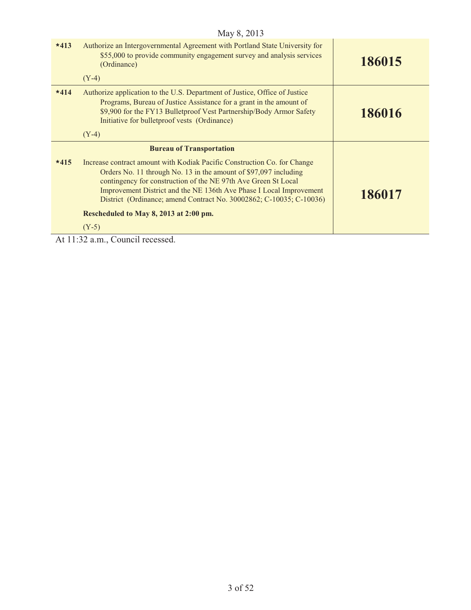| May 8, 2013 |                                                                                                                                                                                                                                                                                                                                                                                                        |        |
|-------------|--------------------------------------------------------------------------------------------------------------------------------------------------------------------------------------------------------------------------------------------------------------------------------------------------------------------------------------------------------------------------------------------------------|--------|
| $*413$      | Authorize an Intergovernmental Agreement with Portland State University for<br>\$55,000 to provide community engagement survey and analysis services<br>(Ordinance)<br>$(Y-4)$                                                                                                                                                                                                                         | 186015 |
| $*414$      | Authorize application to the U.S. Department of Justice, Office of Justice<br>Programs, Bureau of Justice Assistance for a grant in the amount of<br>\$9,900 for the FY13 Bulletproof Vest Partnership/Body Armor Safety<br>Initiative for bulletproof vests (Ordinance)<br>$(Y-4)$                                                                                                                    | 186016 |
|             | <b>Bureau of Transportation</b>                                                                                                                                                                                                                                                                                                                                                                        |        |
| $*415$      | Increase contract amount with Kodiak Pacific Construction Co. for Change<br>Orders No. 11 through No. 13 in the amount of \$97,097 including<br>contingency for construction of the NE 97th Ave Green St Local<br>Improvement District and the NE 136th Ave Phase I Local Improvement<br>District (Ordinance; amend Contract No. 30002862; C-10035; C-10036)<br>Rescheduled to May 8, 2013 at 2:00 pm. | 186017 |
|             | $(Y-5)$                                                                                                                                                                                                                                                                                                                                                                                                |        |
|             | At 11:32 a.m., Council recessed.                                                                                                                                                                                                                                                                                                                                                                       |        |

3 of 52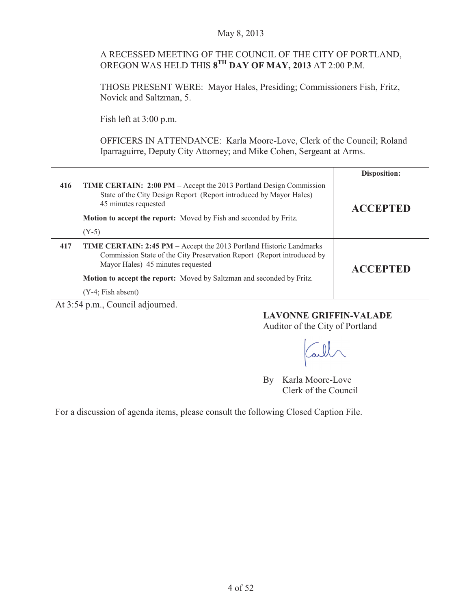# A RECESSED MEETING OF THE COUNCIL OF THE CITY OF PORTLAND, OREGON WAS HELD THIS **8TH DAY OF MAY, 2013** AT 2:00 P.M.

THOSE PRESENT WERE: Mayor Hales, Presiding; Commissioners Fish, Fritz, Novick and Saltzman, 5.

Fish left at 3:00 p.m.

OFFICERS IN ATTENDANCE: Karla Moore-Love, Clerk of the Council; Roland Iparraguirre, Deputy City Attorney; and Mike Cohen, Sergeant at Arms.

|     |                                                                                                                                                                                           | Disposition:    |
|-----|-------------------------------------------------------------------------------------------------------------------------------------------------------------------------------------------|-----------------|
| 416 | TIME CERTAIN: 2:00 PM - Accept the 2013 Portland Design Commission<br>State of the City Design Report (Report introduced by Mayor Hales)<br>45 minutes requested                          | <b>ACCEPTED</b> |
|     | <b>Motion to accept the report:</b> Moved by Fish and seconded by Fritz.                                                                                                                  |                 |
|     | $(Y-5)$                                                                                                                                                                                   |                 |
| 417 | <b>TIME CERTAIN: 2:45 PM</b> – Accept the 2013 Portland Historic Landmarks<br>Commission State of the City Preservation Report (Report introduced by<br>Mayor Hales) 45 minutes requested | <b>ACCEPTED</b> |
|     | Motion to accept the report: Moved by Saltzman and seconded by Fritz.                                                                                                                     |                 |
|     | $(Y-4; Fish absent)$                                                                                                                                                                      |                 |

At 3:54 p.m., Council adjourned.

#### **LAVONNE GRIFFIN-VALADE**

Auditor of the City of Portland

By Karla Moore-Love Clerk of the Council

For a discussion of agenda items, please consult the following Closed Caption File.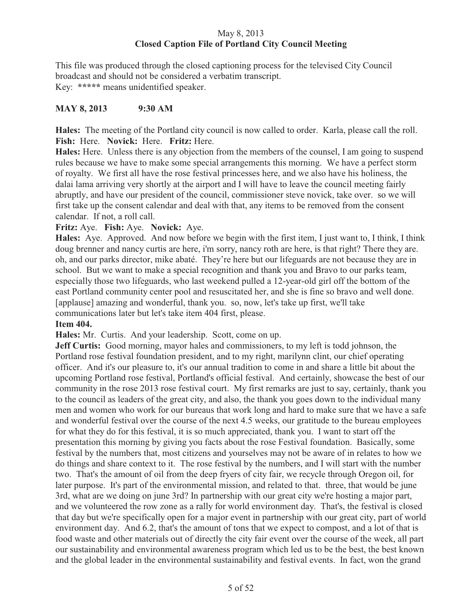# May 8, 2013 **Closed Caption File of Portland City Council Meeting**

This file was produced through the closed captioning process for the televised City Council broadcast and should not be considered a verbatim transcript. Key: **\*\*\*\*\*** means unidentified speaker.

# **MAY 8, 2013 9:30 AM**

**Hales:** The meeting of the Portland city council is now called to order. Karla, please call the roll. **Fish:** Here. **Novick:** Here. **Fritz:** Here.

**Hales:** Here. Unless there is any objection from the members of the counsel, I am going to suspend rules because we have to make some special arrangements this morning. We have a perfect storm of royalty. We first all have the rose festival princesses here, and we also have his holiness, the dalai lama arriving very shortly at the airport and I will have to leave the council meeting fairly abruptly, and have our president of the council, commissioner steve novick, take over. so we will first take up the consent calendar and deal with that, any items to be removed from the consent calendar. If not, a roll call.

**Fritz:** Aye. **Fish:** Aye. **Novick:** Aye.

**Hales:** Aye. Approved. And now before we begin with the first item, I just want to, I think, I think doug brenner and nancy curtis are here, i'm sorry, nancy roth are here, is that right? There they are. oh, and our parks director, mike abaté. They're here but our lifeguards are not because they are in school. But we want to make a special recognition and thank you and Bravo to our parks team, especially those two lifeguards, who last weekend pulled a 12-year-old girl off the bottom of the east Portland community center pool and resuscitated her, and she is fine so bravo and well done. [applause] amazing and wonderful, thank you. so, now, let's take up first, we'll take communications later but let's take item 404 first, please.

#### **Item 404.**

**Hales:** Mr. Curtis. And your leadership. Scott, come on up.

**Jeff Curtis:** Good morning, mayor hales and commissioners, to my left is todd johnson, the Portland rose festival foundation president, and to my right, marilynn clint, our chief operating officer. And it's our pleasure to, it's our annual tradition to come in and share a little bit about the upcoming Portland rose festival, Portland's official festival. And certainly, showcase the best of our community in the rose 2013 rose festival court. My first remarks are just to say, certainly, thank you to the council as leaders of the great city, and also, the thank you goes down to the individual many men and women who work for our bureaus that work long and hard to make sure that we have a safe and wonderful festival over the course of the next 4.5 weeks, our gratitude to the bureau employees for what they do for this festival, it is so much appreciated, thank you. I want to start off the presentation this morning by giving you facts about the rose Festival foundation. Basically, some festival by the numbers that, most citizens and yourselves may not be aware of in relates to how we do things and share context to it. The rose festival by the numbers, and I will start with the number two. That's the amount of oil from the deep fryers of city fair, we recycle through Oregon oil, for later purpose. It's part of the environmental mission, and related to that. three, that would be june 3rd, what are we doing on june 3rd? In partnership with our great city we're hosting a major part, and we volunteered the row zone as a rally for world environment day. That's, the festival is closed that day but we're specifically open for a major event in partnership with our great city, part of world environment day. And 6.2, that's the amount of tons that we expect to compost, and a lot of that is food waste and other materials out of directly the city fair event over the course of the week, all part our sustainability and environmental awareness program which led us to be the best, the best known and the global leader in the environmental sustainability and festival events. In fact, won the grand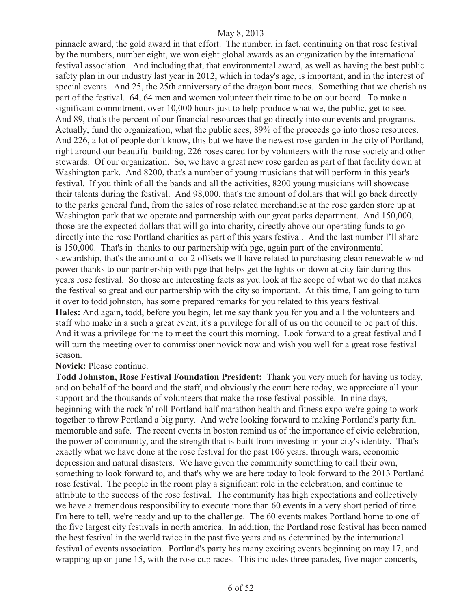pinnacle award, the gold award in that effort. The number, in fact, continuing on that rose festival by the numbers, number eight, we won eight global awards as an organization by the international festival association. And including that, that environmental award, as well as having the best public safety plan in our industry last year in 2012, which in today's age, is important, and in the interest of special events. And 25, the 25th anniversary of the dragon boat races. Something that we cherish as part of the festival. 64, 64 men and women volunteer their time to be on our board. To make a significant commitment, over 10,000 hours just to help produce what we, the public, get to see. And 89, that's the percent of our financial resources that go directly into our events and programs. Actually, fund the organization, what the public sees, 89% of the proceeds go into those resources. And 226, a lot of people don't know, this but we have the newest rose garden in the city of Portland, right around our beautiful building, 226 roses cared for by volunteers with the rose society and other stewards. Of our organization. So, we have a great new rose garden as part of that facility down at Washington park. And 8200, that's a number of young musicians that will perform in this year's festival. If you think of all the bands and all the activities, 8200 young musicians will showcase their talents during the festival. And 98,000, that's the amount of dollars that will go back directly to the parks general fund, from the sales of rose related merchandise at the rose garden store up at Washington park that we operate and partnership with our great parks department. And 150,000, those are the expected dollars that will go into charity, directly above our operating funds to go directly into the rose Portland charities as part of this years festival. And the last number I'll share is 150,000. That's in thanks to our partnership with pge, again part of the environmental stewardship, that's the amount of co-2 offsets we'll have related to purchasing clean renewable wind power thanks to our partnership with pge that helps get the lights on down at city fair during this years rose festival. So those are interesting facts as you look at the scope of what we do that makes the festival so great and our partnership with the city so important. At this time, I am going to turn it over to todd johnston, has some prepared remarks for you related to this years festival. **Hales:** And again, todd, before you begin, let me say thank you for you and all the volunteers and staff who make in a such a great event, it's a privilege for all of us on the council to be part of this. And it was a privilege for me to meet the court this morning. Look forward to a great festival and I will turn the meeting over to commissioner novick now and wish you well for a great rose festival season.

#### **Novick:** Please continue.

**Todd Johnston, Rose Festival Foundation President:** Thank you very much for having us today, and on behalf of the board and the staff, and obviously the court here today, we appreciate all your support and the thousands of volunteers that make the rose festival possible. In nine days, beginning with the rock 'n' roll Portland half marathon health and fitness expo we're going to work together to throw Portland a big party. And we're looking forward to making Portland's party fun, memorable and safe. The recent events in boston remind us of the importance of civic celebration, the power of community, and the strength that is built from investing in your city's identity. That's exactly what we have done at the rose festival for the past 106 years, through wars, economic depression and natural disasters. We have given the community something to call their own, something to look forward to, and that's why we are here today to look forward to the 2013 Portland rose festival. The people in the room play a significant role in the celebration, and continue to attribute to the success of the rose festival. The community has high expectations and collectively we have a tremendous responsibility to execute more than 60 events in a very short period of time. I'm here to tell, we're ready and up to the challenge. The 60 events makes Portland home to one of the five largest city festivals in north america. In addition, the Portland rose festival has been named the best festival in the world twice in the past five years and as determined by the international festival of events association. Portland's party has many exciting events beginning on may 17, and wrapping up on june 15, with the rose cup races. This includes three parades, five major concerts,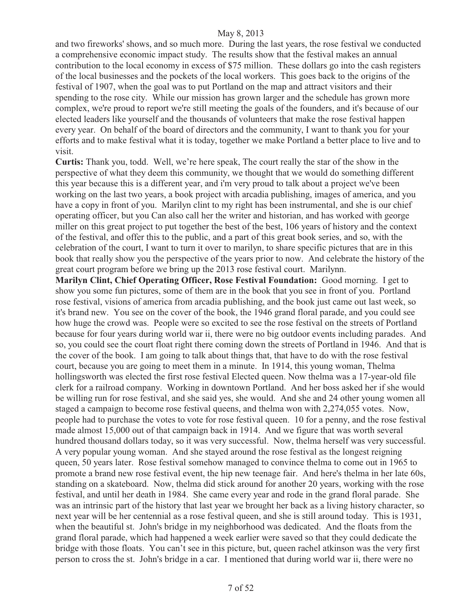and two fireworks' shows, and so much more. During the last years, the rose festival we conducted a comprehensive economic impact study. The results show that the festival makes an annual contribution to the local economy in excess of \$75 million. These dollars go into the cash registers of the local businesses and the pockets of the local workers. This goes back to the origins of the festival of 1907, when the goal was to put Portland on the map and attract visitors and their spending to the rose city. While our mission has grown larger and the schedule has grown more complex, we're proud to report we're still meeting the goals of the founders, and it's because of our elected leaders like yourself and the thousands of volunteers that make the rose festival happen every year. On behalf of the board of directors and the community, I want to thank you for your efforts and to make festival what it is today, together we make Portland a better place to live and to visit.

**Curtis:** Thank you, todd. Well, we're here speak, The court really the star of the show in the perspective of what they deem this community, we thought that we would do something different this year because this is a different year, and i'm very proud to talk about a project we've been working on the last two years, a book project with arcadia publishing, images of america, and you have a copy in front of you. Marilyn clint to my right has been instrumental, and she is our chief operating officer, but you Can also call her the writer and historian, and has worked with george miller on this great project to put together the best of the best, 106 years of history and the context of the festival, and offer this to the public, and a part of this great book series, and so, with the celebration of the court, I want to turn it over to marilyn, to share specific pictures that are in this book that really show you the perspective of the years prior to now. And celebrate the history of the great court program before we bring up the 2013 rose festival court. Marilynn.

**Marilyn Clint, Chief Operating Officer, Rose Festival Foundation:** Good morning. I get to show you some fun pictures, some of them are in the book that you see in front of you. Portland rose festival, visions of america from arcadia publishing, and the book just came out last week, so it's brand new. You see on the cover of the book, the 1946 grand floral parade, and you could see how huge the crowd was. People were so excited to see the rose festival on the streets of Portland because for four years during world war ii, there were no big outdoor events including parades. And so, you could see the court float right there coming down the streets of Portland in 1946. And that is the cover of the book. I am going to talk about things that, that have to do with the rose festival court, because you are going to meet them in a minute. In 1914, this young woman, Thelma hollingsworth was elected the first rose festival Elected queen. Now thelma was a 17-year-old file clerk for a railroad company. Working in downtown Portland. And her boss asked her if she would be willing run for rose festival, and she said yes, she would. And she and 24 other young women all staged a campaign to become rose festival queens, and thelma won with 2,274,055 votes. Now, people had to purchase the votes to vote for rose festival queen. 10 for a penny, and the rose festival made almost 15,000 out of that campaign back in 1914. And we figure that was worth several hundred thousand dollars today, so it was very successful. Now, thelma herself was very successful. A very popular young woman. And she stayed around the rose festival as the longest reigning queen, 50 years later. Rose festival somehow managed to convince thelma to come out in 1965 to promote a brand new rose festival event, the hip new teenage fair. And here's thelma in her late 60s, standing on a skateboard. Now, thelma did stick around for another 20 years, working with the rose festival, and until her death in 1984. She came every year and rode in the grand floral parade. She was an intrinsic part of the history that last year we brought her back as a living history character, so next year will be her centennial as a rose festival queen, and she is still around today. This is 1931, when the beautiful st. John's bridge in my neighborhood was dedicated. And the floats from the grand floral parade, which had happened a week earlier were saved so that they could dedicate the bridge with those floats. You can't see in this picture, but, queen rachel atkinson was the very first person to cross the st. John's bridge in a car. I mentioned that during world war ii, there were no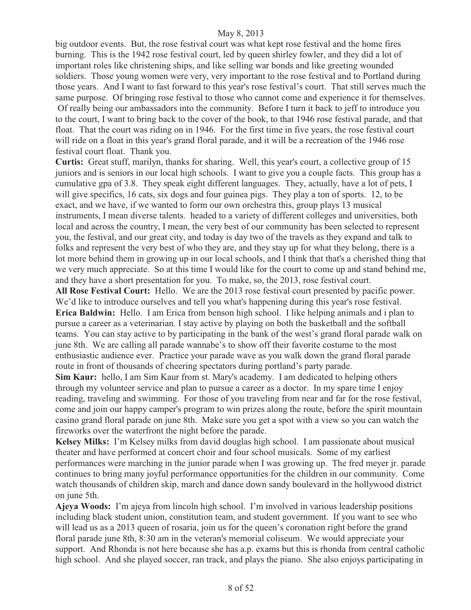big outdoor events. But, the rose festival court was what kept rose festival and the home fires burning. This is the 1942 rose festival court, led by queen shirley fowler, and they did a lot of important roles like christening ships, and like selling war bonds and like greeting wounded soldiers. Those young women were very, very important to the rose festival and to Portland during those years. And I want to fast forward to this year's rose festival's court. That still serves much the same purpose. Of bringing rose festival to those who cannot come and experience it for themselves. Of really being our ambassadors into the community. Before I turn it back to jeff to introduce you to the court, I want to bring back to the cover of the book, to that 1946 rose festival parade, and that float. That the court was riding on in 1946. For the first time in five years, the rose festival court will ride on a float in this year's grand floral parade, and it will be a recreation of the 1946 rose festival court float. Thank you.

**Curtis:** Great stuff, marilyn, thanks for sharing. Well, this year's court, a collective group of 15 juniors and is seniors in our local high schools. I want to give you a couple facts. This group has a cumulative gpa of 3.8. They speak eight different languages. They, actually, have a lot of pets, I will give specifics, 16 cats, six dogs and four guinea pigs. They play a ton of sports. 12, to be exact, and we have, if we wanted to form our own orchestra this, group plays 13 musical instruments, I mean diverse talents. headed to a variety of different colleges and universities, both local and across the country, I mean, the very best of our community has been selected to represent you, the festival, and our great city, and today is day two of the travels as they expand and talk to folks and represent the very best of who they are, and they stay up for what they belong, there is a lot more behind them in growing up in our local schools, and I think that that's a cherished thing that we very much appreciate. So at this time I would like for the court to come up and stand behind me, and they have a short presentation for you. To make, so, the 2013, rose festival court.

**All Rose Festival Court:** Hello. We are the 2013 rose festival court presented by pacific power. We'd like to introduce ourselves and tell you what's happening during this year's rose festival. **Erica Baldwin:** Hello. I am Erica from benson high school. I like helping animals and i plan to pursue a career as a veterinarian. I stay active by playing on both the basketball and the softball teams. You can stay active to by participating in the bank of the west's grand floral parade walk on june 8th. We are calling all parade wannabe's to show off their favorite costume to the most enthusiastic audience ever. Practice your parade wave as you walk down the grand floral parade route in front of thousands of cheering spectators during portland's party parade.

**Sim Kaur:** hello, I am Sim Kaur from st. Mary's academy. I am dedicated to helping others through my volunteer service and plan to pursue a career as a doctor. In my spare time I enjoy reading, traveling and swimming. For those of you traveling from near and far for the rose festival, come and join our happy camper's program to win prizes along the route, before the spirit mountain casino grand floral parade on june 8th. Make sure you get a spot with a view so you can watch the fireworks over the waterfront the night before the parade.

**Kelsey Milks:** I'm Kelsey milks from david douglas high school. I am passionate about musical theater and have performed at concert choir and four school musicals. Some of my earliest performances were marching in the junior parade when I was growing up. The fred meyer jr. parade continues to bring many joyful performance opportunities for the children in our community. Come watch thousands of children skip, march and dance down sandy boulevard in the hollywood district on june 5th.

**Ajeya Woods:** I'm ajeya from lincoln high school. I'm involved in various leadership positions including black student union, constitution team, and student government. If you want to see who will lead us as a 2013 queen of rosaria, join us for the queen's coronation right before the grand floral parade june 8th, 8:30 am in the veteran's memorial coliseum. We would appreciate your support. And Rhonda is not here because she has a.p. exams but this is rhonda from central catholic high school. And she played soccer, ran track, and plays the piano. She also enjoys participating in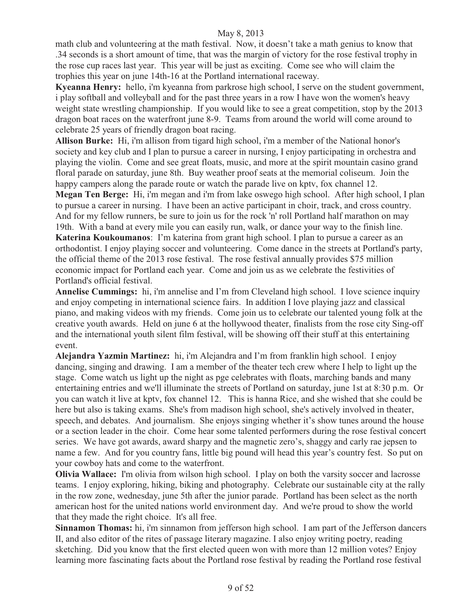math club and volunteering at the math festival. Now, it doesn't take a math genius to know that .34 seconds is a short amount of time, that was the margin of victory for the rose festival trophy in the rose cup races last year. This year will be just as exciting. Come see who will claim the trophies this year on june 14th-16 at the Portland international raceway.

**Kyeanna Henry:** hello, i'm kyeanna from parkrose high school, I serve on the student government, i play softball and volleyball and for the past three years in a row I have won the women's heavy weight state wrestling championship. If you would like to see a great competition, stop by the 2013 dragon boat races on the waterfront june 8-9. Teams from around the world will come around to celebrate 25 years of friendly dragon boat racing.

**Allison Burke:** Hi, i'm allison from tigard high school, i'm a member of the National honor's society and key club and I plan to pursue a career in nursing, I enjoy participating in orchestra and playing the violin. Come and see great floats, music, and more at the spirit mountain casino grand floral parade on saturday, june 8th. Buy weather proof seats at the memorial coliseum. Join the happy campers along the parade route or watch the parade live on kptv, fox channel 12.

**Megan Ten Berge:** Hi, i'm megan and i'm from lake oswego high school. After high school, I plan to pursue a career in nursing. I have been an active participant in choir, track, and cross country. And for my fellow runners, be sure to join us for the rock 'n' roll Portland half marathon on may 19th. With a band at every mile you can easily run, walk, or dance your way to the finish line. **Katerina Koukoumanos**: I'm katerina from grant high school. I plan to pursue a career as an orthodontist. I enjoy playing soccer and volunteering. Come dance in the streets at Portland's party, the official theme of the 2013 rose festival. The rose festival annually provides \$75 million economic impact for Portland each year. Come and join us as we celebrate the festivities of Portland's official festival.

**Annelise Cummings:** hi, i'm annelise and I'm from Cleveland high school. I love science inquiry and enjoy competing in international science fairs. In addition I love playing jazz and classical piano, and making videos with my friends. Come join us to celebrate our talented young folk at the creative youth awards. Held on june 6 at the hollywood theater, finalists from the rose city Sing-off and the international youth silent film festival, will be showing off their stuff at this entertaining event.

**Alejandra Yazmin Martinez:** hi, i'm Alejandra and I'm from franklin high school. I enjoy dancing, singing and drawing. I am a member of the theater tech crew where I help to light up the stage. Come watch us light up the night as pge celebrates with floats, marching bands and many entertaining entries and we'll illuminate the streets of Portland on saturday, june 1st at 8:30 p.m. Or you can watch it live at kptv, fox channel 12. This is hanna Rice, and she wished that she could be here but also is taking exams. She's from madison high school, she's actively involved in theater, speech, and debates. And journalism. She enjoys singing whether it's show tunes around the house or a section leader in the choir. Come hear some talented performers during the rose festival concert series. We have got awards, award sharpy and the magnetic zero's, shaggy and carly rae jepsen to name a few. And for you country fans, little big pound will head this year's country fest. So put on your cowboy hats and come to the waterfront.

**Olivia Wallace:** I'm olivia from wilson high school. I play on both the varsity soccer and lacrosse teams. I enjoy exploring, hiking, biking and photography. Celebrate our sustainable city at the rally in the row zone, wednesday, june 5th after the junior parade. Portland has been select as the north american host for the united nations world environment day. And we're proud to show the world that they made the right choice. It's all free.

**Sinnamon Thomas:** hi, i'm sinnamon from jefferson high school. I am part of the Jefferson dancers II, and also editor of the rites of passage literary magazine. I also enjoy writing poetry, reading sketching. Did you know that the first elected queen won with more than 12 million votes? Enjoy learning more fascinating facts about the Portland rose festival by reading the Portland rose festival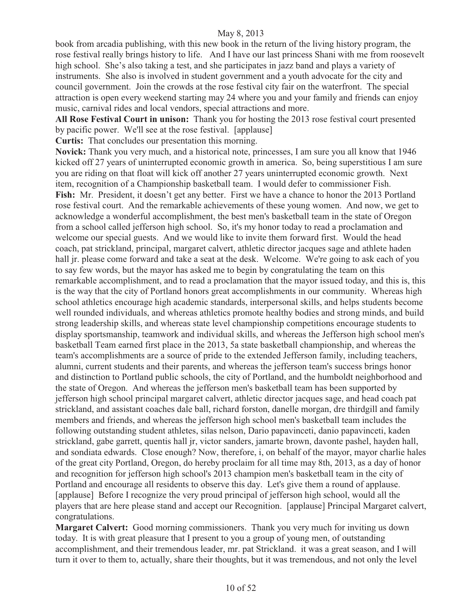book from arcadia publishing, with this new book in the return of the living history program, the rose festival really brings history to life. And I have our last princess Shani with me from roosevelt high school. She's also taking a test, and she participates in jazz band and plays a variety of instruments. She also is involved in student government and a youth advocate for the city and council government. Join the crowds at the rose festival city fair on the waterfront. The special attraction is open every weekend starting may 24 where you and your family and friends can enjoy music, carnival rides and local vendors, special attractions and more.

**All Rose Festival Court in unison:** Thank you for hosting the 2013 rose festival court presented by pacific power. We'll see at the rose festival. [applause]

**Curtis:** That concludes our presentation this morning.

**Novick:** Thank you very much, and a historical note, princesses, I am sure you all know that 1946 kicked off 27 years of uninterrupted economic growth in america. So, being superstitious I am sure you are riding on that float will kick off another 27 years uninterrupted economic growth. Next item, recognition of a Championship basketball team. I would defer to commissioner Fish. **Fish:** Mr. President, it doesn't get any better. First we have a chance to honor the 2013 Portland rose festival court. And the remarkable achievements of these young women. And now, we get to acknowledge a wonderful accomplishment, the best men's basketball team in the state of Oregon from a school called jefferson high school. So, it's my honor today to read a proclamation and welcome our special guests. And we would like to invite them forward first. Would the head coach, pat strickland, principal, margaret calvert, athletic director jacques sage and athlete haden hall jr. please come forward and take a seat at the desk. Welcome. We're going to ask each of you to say few words, but the mayor has asked me to begin by congratulating the team on this remarkable accomplishment, and to read a proclamation that the mayor issued today, and this is, this is the way that the city of Portland honors great accomplishments in our community. Whereas high school athletics encourage high academic standards, interpersonal skills, and helps students become well rounded individuals, and whereas athletics promote healthy bodies and strong minds, and build strong leadership skills, and whereas state level championship competitions encourage students to display sportsmanship, teamwork and individual skills, and whereas the Jefferson high school men's basketball Team earned first place in the 2013, 5a state basketball championship, and whereas the team's accomplishments are a source of pride to the extended Jefferson family, including teachers, alumni, current students and their parents, and whereas the jefferson team's success brings honor and distinction to Portland public schools, the city of Portland, and the humboldt neighborhood and the state of Oregon. And whereas the jefferson men's basketball team has been supported by jefferson high school principal margaret calvert, athletic director jacques sage, and head coach pat strickland, and assistant coaches dale ball, richard forston, danelle morgan, dre thirdgill and family members and friends, and whereas the jefferson high school men's basketball team includes the following outstanding student athletes, silas nelson, Dario papavinceti, danio papavinceti, kaden strickland, gabe garrett, quentis hall jr, victor sanders, jamarte brown, davonte pashel, hayden hall, and sondiata edwards. Close enough? Now, therefore, i, on behalf of the mayor, mayor charlie hales of the great city Portland, Oregon, do hereby proclaim for all time may 8th, 2013, as a day of honor and recognition for jefferson high school's 2013 champion men's basketball team in the city of Portland and encourage all residents to observe this day. Let's give them a round of applause. [applause]Before I recognize the very proud principal of jefferson high school, would all the players that are here please stand and accept our Recognition. [applause] Principal Margaret calvert, congratulations.

**Margaret Calvert:** Good morning commissioners. Thank you very much for inviting us down today. It is with great pleasure that I present to you a group of young men, of outstanding accomplishment, and their tremendous leader, mr. pat Strickland. it was a great season, and I will turn it over to them to, actually, share their thoughts, but it was tremendous, and not only the level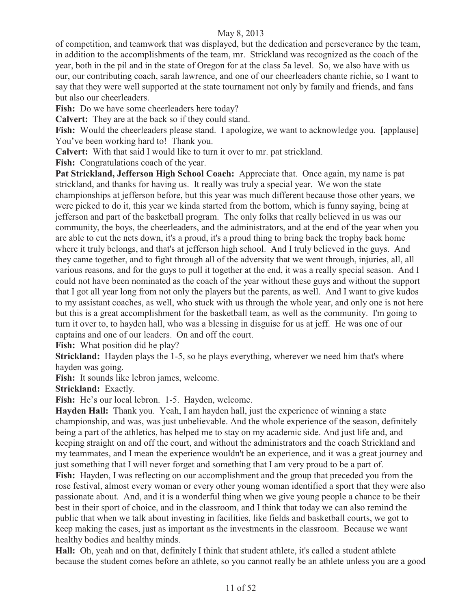of competition, and teamwork that was displayed, but the dedication and perseverance by the team, in addition to the accomplishments of the team, mr. Strickland was recognized as the coach of the year, both in the pil and in the state of Oregon for at the class 5a level. So, we also have with us our, our contributing coach, sarah lawrence, and one of our cheerleaders chante richie, so I want to say that they were well supported at the state tournament not only by family and friends, and fans but also our cheerleaders.

**Fish:** Do we have some cheerleaders here today?

**Calvert:** They are at the back so if they could stand.

**Fish:** Would the cheerleaders please stand. I apologize, we want to acknowledge you. [applause] You've been working hard to! Thank you.

**Calvert:** With that said I would like to turn it over to mr. pat strickland.

Fish: Congratulations coach of the year.

Pat Strickland, Jefferson High School Coach: Appreciate that. Once again, my name is pat strickland, and thanks for having us. It really was truly a special year. We won the state championships at jefferson before, but this year was much different because those other years, we were picked to do it, this year we kinda started from the bottom, which is funny saying, being at jefferson and part of the basketball program. The only folks that really believed in us was our community, the boys, the cheerleaders, and the administrators, and at the end of the year when you are able to cut the nets down, it's a proud, it's a proud thing to bring back the trophy back home where it truly belongs, and that's at jefferson high school. And I truly believed in the guys. And they came together, and to fight through all of the adversity that we went through, injuries, all, all various reasons, and for the guys to pull it together at the end, it was a really special season. And I could not have been nominated as the coach of the year without these guys and without the support that I got all year long from not only the players but the parents, as well. And I want to give kudos to my assistant coaches, as well, who stuck with us through the whole year, and only one is not here but this is a great accomplishment for the basketball team, as well as the community. I'm going to turn it over to, to hayden hall, who was a blessing in disguise for us at jeff. He was one of our captains and one of our leaders. On and off the court.

**Fish:** What position did he play?

**Strickland:** Hayden plays the 1-5, so he plays everything, wherever we need him that's where hayden was going.

**Fish:** It sounds like lebron james, welcome.

**Strickland:** Exactly.

Fish: He's our local lebron. 1-5. Hayden, welcome.

**Hayden Hall:** Thank you. Yeah, I am hayden hall, just the experience of winning a state championship, and was, was just unbelievable. And the whole experience of the season, definitely being a part of the athletics, has helped me to stay on my academic side. And just life and, and keeping straight on and off the court, and without the administrators and the coach Strickland and my teammates, and I mean the experience wouldn't be an experience, and it was a great journey and just something that I will never forget and something that I am very proud to be a part of.

**Fish:** Hayden, I was reflecting on our accomplishment and the group that preceded you from the rose festival, almost every woman or every other young woman identified a sport that they were also passionate about. And, and it is a wonderful thing when we give young people a chance to be their best in their sport of choice, and in the classroom, and I think that today we can also remind the public that when we talk about investing in facilities, like fields and basketball courts, we got to keep making the cases, just as important as the investments in the classroom. Because we want healthy bodies and healthy minds.

**Hall:** Oh, yeah and on that, definitely I think that student athlete, it's called a student athlete because the student comes before an athlete, so you cannot really be an athlete unless you are a good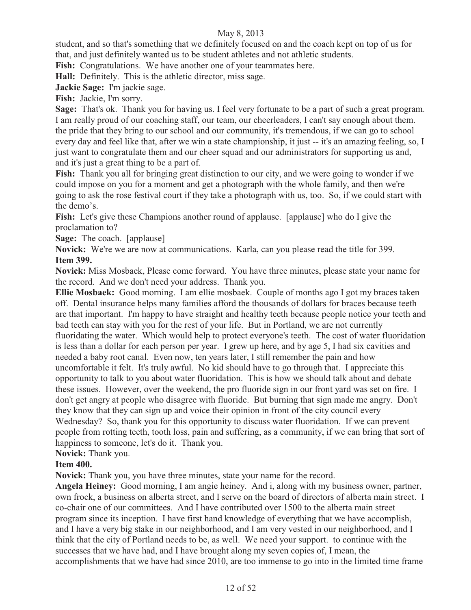student, and so that's something that we definitely focused on and the coach kept on top of us for that, and just definitely wanted us to be student athletes and not athletic students.

Fish: Congratulations. We have another one of your teammates here.

**Hall:** Definitely. This is the athletic director, miss sage.

**Jackie Sage:** I'm jackie sage.

**Fish:** Jackie, I'm sorry.

**Sage:** That's ok. Thank you for having us. I feel very fortunate to be a part of such a great program. I am really proud of our coaching staff, our team, our cheerleaders, I can't say enough about them. the pride that they bring to our school and our community, it's tremendous, if we can go to school every day and feel like that, after we win a state championship, it just -- it's an amazing feeling, so, I just want to congratulate them and our cheer squad and our administrators for supporting us and, and it's just a great thing to be a part of.

**Fish:** Thank you all for bringing great distinction to our city, and we were going to wonder if we could impose on you for a moment and get a photograph with the whole family, and then we're going to ask the rose festival court if they take a photograph with us, too. So, if we could start with the demo's.

Fish: Let's give these Champions another round of applause. [applause] who do I give the proclamation to?

**Sage:** The coach. [applause]

**Novick:** We're we are now at communications. Karla, can you please read the title for 399. **Item 399.** 

**Novick:** Miss Mosbaek, Please come forward. You have three minutes, please state your name for the record. And we don't need your address. Thank you.

**Ellie Mosbaek:** Good morning. I am ellie mosbaek. Couple of months ago I got my braces taken off. Dental insurance helps many families afford the thousands of dollars for braces because teeth are that important. I'm happy to have straight and healthy teeth because people notice your teeth and bad teeth can stay with you for the rest of your life. But in Portland, we are not currently fluoridating the water. Which would help to protect everyone's teeth. The cost of water fluoridation is less than a dollar for each person per year. I grew up here, and by age 5, I had six cavities and needed a baby root canal. Even now, ten years later, I still remember the pain and how uncomfortable it felt. It's truly awful. No kid should have to go through that. I appreciate this opportunity to talk to you about water fluoridation. This is how we should talk about and debate these issues. However, over the weekend, the pro fluoride sign in our front yard was set on fire. I don't get angry at people who disagree with fluoride. But burning that sign made me angry. Don't they know that they can sign up and voice their opinion in front of the city council every Wednesday? So, thank you for this opportunity to discuss water fluoridation. If we can prevent people from rotting teeth, tooth loss, pain and suffering, as a community, if we can bring that sort of happiness to someone, let's do it. Thank you.

**Novick:** Thank you.

# **Item 400.**

**Novick:** Thank you, you have three minutes, state your name for the record.

**Angela Heiney:** Good morning, I am angie heiney. And i, along with my business owner, partner, own frock, a business on alberta street, and I serve on the board of directors of alberta main street. I co-chair one of our committees. And I have contributed over 1500 to the alberta main street program since its inception. I have first hand knowledge of everything that we have accomplish, and I have a very big stake in our neighborhood, and I am very vested in our neighborhood, and I think that the city of Portland needs to be, as well. We need your support. to continue with the successes that we have had, and I have brought along my seven copies of, I mean, the accomplishments that we have had since 2010, are too immense to go into in the limited time frame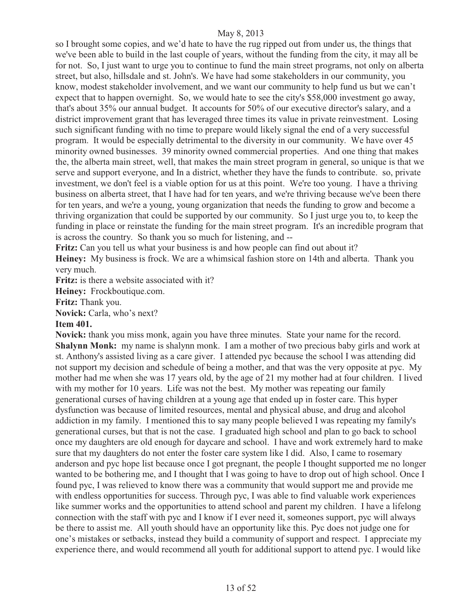so I brought some copies, and we'd hate to have the rug ripped out from under us, the things that we've been able to build in the last couple of years, without the funding from the city, it may all be for not. So, I just want to urge you to continue to fund the main street programs, not only on alberta street, but also, hillsdale and st. John's. We have had some stakeholders in our community, you know, modest stakeholder involvement, and we want our community to help fund us but we can't expect that to happen overnight. So, we would hate to see the city's \$58,000 investment go away, that's about 35% our annual budget. It accounts for 50% of our executive director's salary, and a district improvement grant that has leveraged three times its value in private reinvestment. Losing such significant funding with no time to prepare would likely signal the end of a very successful program. It would be especially detrimental to the diversity in our community. We have over 45 minority owned businesses. 39 minority owned commercial properties. And one thing that makes the, the alberta main street, well, that makes the main street program in general, so unique is that we serve and support everyone, and In a district, whether they have the funds to contribute. so, private investment, we don't feel is a viable option for us at this point. We're too young. I have a thriving business on alberta street, that I have had for ten years, and we're thriving because we've been there for ten years, and we're a young, young organization that needs the funding to grow and become a thriving organization that could be supported by our community. So I just urge you to, to keep the funding in place or reinstate the funding for the main street program. It's an incredible program that is across the country. So thank you so much for listening, and --

**Fritz:** Can you tell us what your business is and how people can find out about it?

**Heiney:** My business is frock. We are a whimsical fashion store on 14th and alberta. Thank you very much.

**Fritz:** is there a website associated with it?

**Heiney:** Frockboutique.com.

**Fritz:** Thank you.

**Novick:** Carla, who's next?

#### **Item 401.**

**Novick:** thank you miss monk, again you have three minutes. State your name for the record. **Shalynn Monk:** my name is shalynn monk. I am a mother of two precious baby girls and work at st. Anthony's assisted living as a care giver. I attended pyc because the school I was attending did not support my decision and schedule of being a mother, and that was the very opposite at pyc. My mother had me when she was 17 years old, by the age of 21 my mother had at four children. I lived with my mother for 10 years. Life was not the best. My mother was repeating our family generational curses of having children at a young age that ended up in foster care. This hyper dysfunction was because of limited resources, mental and physical abuse, and drug and alcohol addiction in my family. I mentioned this to say many people believed I was repeating my family's generational curses, but that is not the case. I graduated high school and plan to go back to school once my daughters are old enough for daycare and school. I have and work extremely hard to make sure that my daughters do not enter the foster care system like I did. Also, I came to rosemary anderson and pyc hope list because once I got pregnant, the people I thought supported me no longer wanted to be bothering me, and I thought that I was going to have to drop out of high school. Once I found pyc, I was relieved to know there was a community that would support me and provide me with endless opportunities for success. Through pyc, I was able to find valuable work experiences like summer works and the opportunities to attend school and parent my children. I have a lifelong connection with the staff with pyc and I know if I ever need it, someones support, pyc will always be there to assist me. All youth should have an opportunity like this. Pyc does not judge one for one's mistakes or setbacks, instead they build a community of support and respect. I appreciate my experience there, and would recommend all youth for additional support to attend pyc. I would like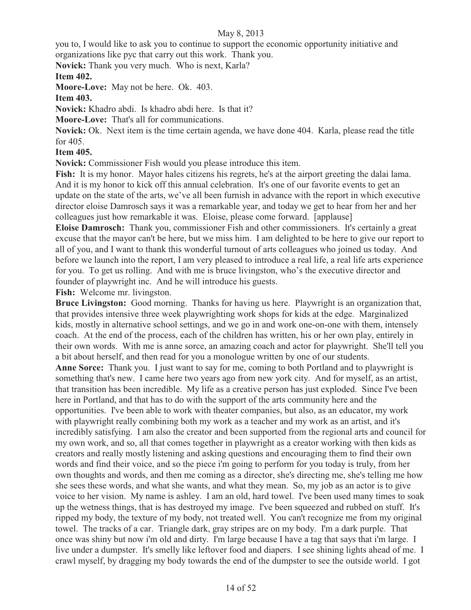you to, I would like to ask you to continue to support the economic opportunity initiative and organizations like pyc that carry out this work. Thank you.

**Novick:** Thank you very much. Who is next, Karla?

# **Item 402.**

**Moore-Love:** May not be here. Ok. 403.

# **Item 403.**

**Novick:** Khadro abdi. Is khadro abdi here. Is that it?

**Moore-Love:** That's all for communications.

**Novick:** Ok. Next item is the time certain agenda, we have done 404. Karla, please read the title for 405.

# **Item 405.**

**Novick:** Commissioner Fish would you please introduce this item.

Fish: It is my honor. Mayor hales citizens his regrets, he's at the airport greeting the dalai lama. And it is my honor to kick off this annual celebration. It's one of our favorite events to get an update on the state of the arts, we've all been furnish in advance with the report in which executive director eloise Damrosch says it was a remarkable year, and today we get to hear from her and her colleagues just how remarkable it was. Eloise, please come forward. [applause]

**Eloise Damrosch:** Thank you, commissioner Fish and other commissioners. It's certainly a great excuse that the mayor can't be here, but we miss him. I am delighted to be here to give our report to all of you, and I want to thank this wonderful turnout of arts colleagues who joined us today. And before we launch into the report, I am very pleased to introduce a real life, a real life arts experience for you. To get us rolling. And with me is bruce livingston, who's the executive director and founder of playwright inc. And he will introduce his guests.

**Fish:** Welcome mr. livingston.

**Bruce Livingston:** Good morning. Thanks for having us here. Playwright is an organization that, that provides intensive three week playwrighting work shops for kids at the edge. Marginalized kids, mostly in alternative school settings, and we go in and work one-on-one with them, intensely coach. At the end of the process, each of the children has written, his or her own play, entirely in their own words. With me is anne sorce, an amazing coach and actor for playwright. She'll tell you a bit about herself, and then read for you a monologue written by one of our students.

**Anne Sorce:** Thank you. I just want to say for me, coming to both Portland and to playwright is something that's new. I came here two years ago from new york city. And for myself, as an artist, that transition has been incredible. My life as a creative person has just exploded. Since I've been here in Portland, and that has to do with the support of the arts community here and the opportunities. I've been able to work with theater companies, but also, as an educator, my work with playwright really combining both my work as a teacher and my work as an artist, and it's incredibly satisfying. I am also the creator and been supported from the regional arts and council for my own work, and so, all that comes together in playwright as a creator working with then kids as creators and really mostly listening and asking questions and encouraging them to find their own words and find their voice, and so the piece i'm going to perform for you today is truly, from her own thoughts and words, and then me coming as a director, she's directing me, she's telling me how she sees these words, and what she wants, and what they mean. So, my job as an actor is to give voice to her vision. My name is ashley. I am an old, hard towel. I've been used many times to soak up the wetness things, that is has destroyed my image. I've been squeezed and rubbed on stuff. It's ripped my body, the texture of my body, not treated well. You can't recognize me from my original towel. The tracks of a car. Triangle dark, gray stripes are on my body. I'm a dark purple. That once was shiny but now i'm old and dirty. I'm large because I have a tag that says that i'm large. I live under a dumpster. It's smelly like leftover food and diapers. I see shining lights ahead of me. I crawl myself, by dragging my body towards the end of the dumpster to see the outside world. I got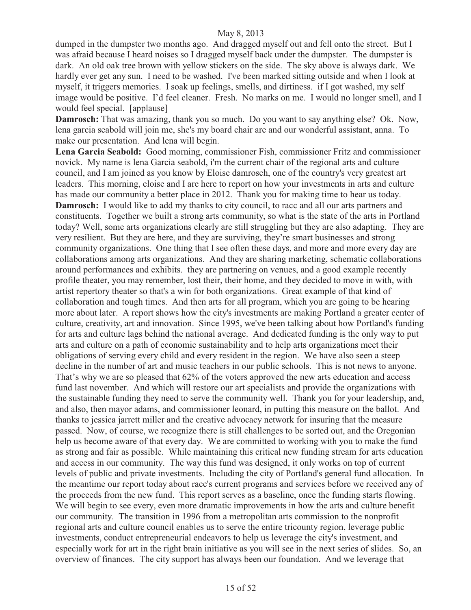dumped in the dumpster two months ago. And dragged myself out and fell onto the street. But I was afraid because I heard noises so I dragged myself back under the dumpster. The dumpster is dark. An old oak tree brown with yellow stickers on the side. The sky above is always dark. We hardly ever get any sun. I need to be washed. I've been marked sitting outside and when I look at myself, it triggers memories. I soak up feelings, smells, and dirtiness. if I got washed, my self image would be positive. I'd feel cleaner. Fresh. No marks on me. I would no longer smell, and I would feel special. [applause]

**Damrosch:** That was amazing, thank you so much. Do you want to say anything else? Ok. Now, lena garcia seabold will join me, she's my board chair are and our wonderful assistant, anna. To make our presentation. And lena will begin.

**Lena Garcia Seabold:** Good morning, commissioner Fish, commissioner Fritz and commissioner novick. My name is lena Garcia seabold, i'm the current chair of the regional arts and culture council, and I am joined as you know by Eloise damrosch, one of the country's very greatest art leaders. This morning, eloise and I are here to report on how your investments in arts and culture has made our community a better place in 2012. Thank you for making time to hear us today. **Damrosch:** I would like to add my thanks to city council, to racc and all our arts partners and constituents. Together we built a strong arts community, so what is the state of the arts in Portland today? Well, some arts organizations clearly are still struggling but they are also adapting. They are very resilient. But they are here, and they are surviving, they're smart businesses and strong community organizations. One thing that I see often these days, and more and more every day are collaborations among arts organizations. And they are sharing marketing, schematic collaborations around performances and exhibits. they are partnering on venues, and a good example recently profile theater, you may remember, lost their, their home, and they decided to move in with, with artist repertory theater so that's a win for both organizations. Great example of that kind of collaboration and tough times. And then arts for all program, which you are going to be hearing more about later. A report shows how the city's investments are making Portland a greater center of culture, creativity, art and innovation. Since 1995, we've been talking about how Portland's funding for arts and culture lags behind the national average. And dedicated funding is the only way to put arts and culture on a path of economic sustainability and to help arts organizations meet their obligations of serving every child and every resident in the region. We have also seen a steep decline in the number of art and music teachers in our public schools. This is not news to anyone. That's why we are so pleased that 62% of the voters approved the new arts education and access fund last november. And which will restore our art specialists and provide the organizations with the sustainable funding they need to serve the community well. Thank you for your leadership, and, and also, then mayor adams, and commissioner leonard, in putting this measure on the ballot. And thanks to jessica jarrett miller and the creative advocacy network for insuring that the measure passed. Now, of course, we recognize there is still challenges to be sorted out, and the Oregonian help us become aware of that every day. We are committed to working with you to make the fund as strong and fair as possible. While maintaining this critical new funding stream for arts education and access in our community. The way this fund was designed, it only works on top of current levels of public and private investments. Including the city of Portland's general fund allocation. In the meantime our report today about racc's current programs and services before we received any of the proceeds from the new fund. This report serves as a baseline, once the funding starts flowing. We will begin to see every, even more dramatic improvements in how the arts and culture benefit our community. The transition in 1996 from a metropolitan arts commission to the nonprofit regional arts and culture council enables us to serve the entire tricounty region, leverage public investments, conduct entrepreneurial endeavors to help us leverage the city's investment, and especially work for art in the right brain initiative as you will see in the next series of slides. So, an overview of finances. The city support has always been our foundation. And we leverage that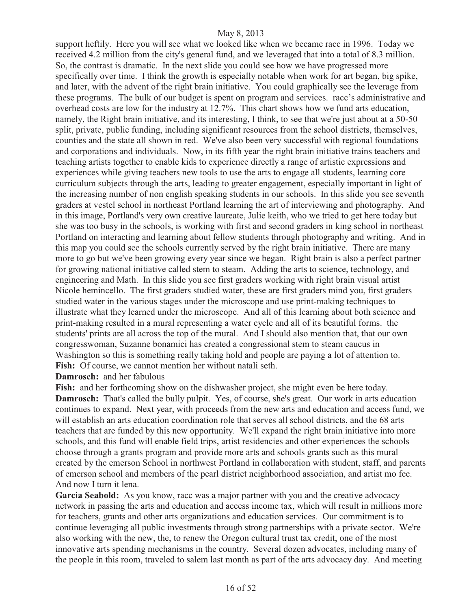support heftily. Here you will see what we looked like when we became racc in 1996. Today we received 4.2 million from the city's general fund, and we leveraged that into a total of 8.3 million. So, the contrast is dramatic. In the next slide you could see how we have progressed more specifically over time. I think the growth is especially notable when work for art began, big spike, and later, with the advent of the right brain initiative. You could graphically see the leverage from these programs. The bulk of our budget is spent on program and services. racc's administrative and overhead costs are low for the industry at 12.7%. This chart shows how we fund arts education, namely, the Right brain initiative, and its interesting, I think, to see that we're just about at a 50-50 split, private, public funding, including significant resources from the school districts, themselves, counties and the state all shown in red. We've also been very successful with regional foundations and corporations and individuals. Now, in its fifth year the right brain initiative trains teachers and teaching artists together to enable kids to experience directly a range of artistic expressions and experiences while giving teachers new tools to use the arts to engage all students, learning core curriculum subjects through the arts, leading to greater engagement, especially important in light of the increasing number of non english speaking students in our schools. In this slide you see seventh graders at vestel school in northeast Portland learning the art of interviewing and photography. And in this image, Portland's very own creative laureate, Julie keith, who we tried to get here today but she was too busy in the schools, is working with first and second graders in king school in northeast Portland on interacting and learning about fellow students through photography and writing. And in this map you could see the schools currently served by the right brain initiative. There are many more to go but we've been growing every year since we began. Right brain is also a perfect partner for growing national initiative called stem to steam. Adding the arts to science, technology, and engineering and Math. In this slide you see first graders working with right brain visual artist Nicole hemincello. The first graders studied water, these are first graders mind you, first graders studied water in the various stages under the microscope and use print-making techniques to illustrate what they learned under the microscope. And all of this learning about both science and print-making resulted in a mural representing a water cycle and all of its beautiful forms. the students' prints are all across the top of the mural. And I should also mention that, that our own congresswoman, Suzanne bonamici has created a congressional stem to steam caucus in Washington so this is something really taking hold and people are paying a lot of attention to. **Fish:** Of course, we cannot mention her without natali seth.

**Damrosch:** and her fabulous

**Fish:** and her forthcoming show on the dishwasher project, she might even be here today. **Damrosch:** That's called the bully pulpit. Yes, of course, she's great. Our work in arts education continues to expand. Next year, with proceeds from the new arts and education and access fund, we will establish an arts education coordination role that serves all school districts, and the 68 arts teachers that are funded by this new opportunity. We'll expand the right brain initiative into more schools, and this fund will enable field trips, artist residencies and other experiences the schools choose through a grants program and provide more arts and schools grants such as this mural created by the emerson School in northwest Portland in collaboration with student, staff, and parents of emerson school and members of the pearl district neighborhood association, and artist mo fee. And now I turn it lena.

Garcia Seabold: As you know, racc was a major partner with you and the creative advocacy network in passing the arts and education and access income tax, which will result in millions more for teachers, grants and other arts organizations and education services. Our commitment is to continue leveraging all public investments through strong partnerships with a private sector. We're also working with the new, the, to renew the Oregon cultural trust tax credit, one of the most innovative arts spending mechanisms in the country. Several dozen advocates, including many of the people in this room, traveled to salem last month as part of the arts advocacy day. And meeting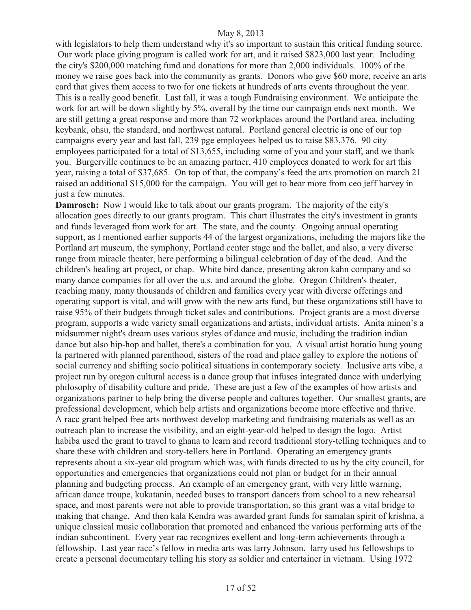with legislators to help them understand why it's so important to sustain this critical funding source. Our work place giving program is called work for art, and it raised \$823,000 last year. Including the city's \$200,000 matching fund and donations for more than 2,000 individuals. 100% of the money we raise goes back into the community as grants. Donors who give \$60 more, receive an arts card that gives them access to two for one tickets at hundreds of arts events throughout the year. This is a really good benefit. Last fall, it was a tough Fundraising environment. We anticipate the work for art will be down slightly by 5%, overall by the time our campaign ends next month. We are still getting a great response and more than 72 workplaces around the Portland area, including keybank, ohsu, the standard, and northwest natural. Portland general electric is one of our top campaigns every year and last fall, 239 pge employees helped us to raise \$83,376. 90 city employees participated for a total of \$13,655, including some of you and your staff, and we thank you. Burgerville continues to be an amazing partner, 410 employees donated to work for art this year, raising a total of \$37,685. On top of that, the company's feed the arts promotion on march 21 raised an additional \$15,000 for the campaign. You will get to hear more from ceo jeff harvey in just a few minutes.

**Damrosch:** Now I would like to talk about our grants program. The majority of the city's allocation goes directly to our grants program. This chart illustrates the city's investment in grants and funds leveraged from work for art. The state, and the county. Ongoing annual operating support, as I mentioned earlier supports 44 of the largest organizations, including the majors like the Portland art museum, the symphony, Portland center stage and the ballet, and also, a very diverse range from miracle theater, here performing a bilingual celebration of day of the dead. And the children's healing art project, or chap. White bird dance, presenting akron kahn company and so many dance companies for all over the u.s. and around the globe. Oregon Children's theater, reaching many, many thousands of children and families every year with diverse offerings and operating support is vital, and will grow with the new arts fund, but these organizations still have to raise 95% of their budgets through ticket sales and contributions. Project grants are a most diverse program, supports a wide variety small organizations and artists, individual artists. Anita minon's a midsummer night's dream uses various styles of dance and music, including the tradition indian dance but also hip-hop and ballet, there's a combination for you. A visual artist horatio hung young la partnered with planned parenthood, sisters of the road and place galley to explore the notions of social currency and shifting socio political situations in contemporary society. Inclusive arts vibe, a project run by oregon cultural access is a dance group that infuses integrated dance with underlying philosophy of disability culture and pride. These are just a few of the examples of how artists and organizations partner to help bring the diverse people and cultures together. Our smallest grants, are professional development, which help artists and organizations become more effective and thrive. A racc grant helped free arts northwest develop marketing and fundraising materials as well as an outreach plan to increase the visibility, and an eight-year-old helped to design the logo. Artist habiba used the grant to travel to ghana to learn and record traditional story-telling techniques and to share these with children and story-tellers here in Portland. Operating an emergency grants represents about a six-year old program which was, with funds directed to us by the city council, for opportunities and emergencies that organizations could not plan or budget for in their annual planning and budgeting process. An example of an emergency grant, with very little warning, african dance troupe, kukatanin, needed buses to transport dancers from school to a new rehearsal space, and most parents were not able to provide transportation, so this grant was a vital bridge to making that change. And then kala Kendra was awarded grant funds for samalan spirit of krishna, a unique classical music collaboration that promoted and enhanced the various performing arts of the indian subcontinent. Every year rac recognizes exellent and long-term achievements through a fellowship. Last year racc's fellow in media arts was larry Johnson. larry used his fellowships to create a personal documentary telling his story as soldier and entertainer in vietnam. Using 1972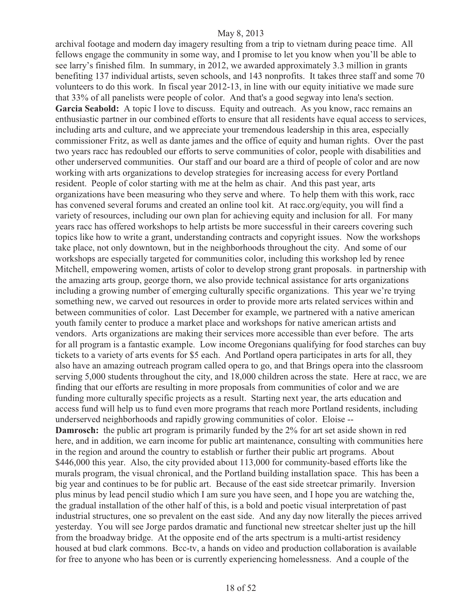archival footage and modern day imagery resulting from a trip to vietnam during peace time. All fellows engage the community in some way, and I promise to let you know when you'll be able to see larry's finished film. In summary, in 2012, we awarded approximately 3.3 million in grants benefiting 137 individual artists, seven schools, and 143 nonprofits. It takes three staff and some 70 volunteers to do this work. In fiscal year 2012-13, in line with our equity initiative we made sure that 33% of all panelists were people of color. And that's a good segway into lena's section. Garcia Seabold: A topic I love to discuss. Equity and outreach. As you know, racc remains an enthusiastic partner in our combined efforts to ensure that all residents have equal access to services, including arts and culture, and we appreciate your tremendous leadership in this area, especially commissioner Fritz, as well as dante james and the office of equity and human rights. Over the past two years racc has redoubled our efforts to serve communities of color, people with disabilities and other underserved communities. Our staff and our board are a third of people of color and are now working with arts organizations to develop strategies for increasing access for every Portland resident. People of color starting with me at the helm as chair. And this past year, arts organizations have been measuring who they serve and where. To help them with this work, racc has convened several forums and created an online tool kit. At racc.org/equity, you will find a variety of resources, including our own plan for achieving equity and inclusion for all. For many years racc has offered workshops to help artists be more successful in their careers covering such topics like how to write a grant, understanding contracts and copyright issues. Now the workshops take place, not only downtown, but in the neighborhoods throughout the city. And some of our workshops are especially targeted for communities color, including this workshop led by renee Mitchell, empowering women, artists of color to develop strong grant proposals. in partnership with the amazing arts group, george thorn, we also provide technical assistance for arts organizations including a growing number of emerging culturally specific organizations. This year we're trying something new, we carved out resources in order to provide more arts related services within and between communities of color. Last December for example, we partnered with a native american youth family center to produce a market place and workshops for native american artists and vendors. Arts organizations are making their services more accessible than ever before. The arts for all program is a fantastic example. Low income Oregonians qualifying for food starches can buy tickets to a variety of arts events for \$5 each. And Portland opera participates in arts for all, they also have an amazing outreach program called opera to go, and that Brings opera into the classroom serving 5,000 students throughout the city, and 18,000 children across the state. Here at racc, we are finding that our efforts are resulting in more proposals from communities of color and we are funding more culturally specific projects as a result. Starting next year, the arts education and access fund will help us to fund even more programs that reach more Portland residents, including underserved neighborhoods and rapidly growing communities of color. Eloise -- **Damrosch:** the public art program is primarily funded by the 2% for art set aside shown in red here, and in addition, we earn income for public art maintenance, consulting with communities here in the region and around the country to establish or further their public art programs. About \$446,000 this year. Also, the city provided about 113,000 for community-based efforts like the murals program, the visual chronical, and the Portland building installation space. This has been a big year and continues to be for public art. Because of the east side streetcar primarily. Inversion plus minus by lead pencil studio which I am sure you have seen, and I hope you are watching the, the gradual installation of the other half of this, is a bold and poetic visual interpretation of past industrial structures, one so prevalent on the east side. And any day now literally the pieces arrived yesterday. You will see Jorge pardos dramatic and functional new streetcar shelter just up the hill

from the broadway bridge. At the opposite end of the arts spectrum is a multi-artist residency housed at bud clark commons. Bcc-tv, a hands on video and production collaboration is available for free to anyone who has been or is currently experiencing homelessness. And a couple of the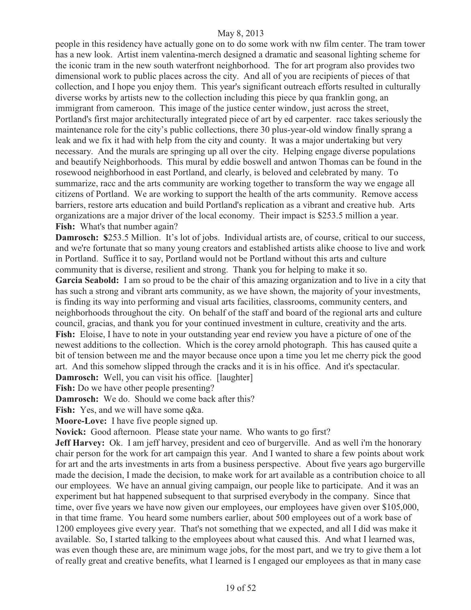people in this residency have actually gone on to do some work with nw film center. The tram tower has a new look. Artist inem valentina-merch designed a dramatic and seasonal lighting scheme for the iconic tram in the new south waterfront neighborhood. The for art program also provides two dimensional work to public places across the city. And all of you are recipients of pieces of that collection, and I hope you enjoy them. This year's significant outreach efforts resulted in culturally diverse works by artists new to the collection including this piece by qua franklin gong, an immigrant from cameroon. This image of the justice center window, just across the street, Portland's first major architecturally integrated piece of art by ed carpenter. racc takes seriously the maintenance role for the city's public collections, there 30 plus-year-old window finally sprang a leak and we fix it had with help from the city and county. It was a major undertaking but very necessary. And the murals are springing up all over the city. Helping engage diverse populations and beautify Neighborhoods. This mural by eddie boswell and antwon Thomas can be found in the rosewood neighborhood in east Portland, and clearly, is beloved and celebrated by many. To summarize, racc and the arts community are working together to transform the way we engage all citizens of Portland. We are working to support the health of the arts community. Remove access barriers, restore arts education and build Portland's replication as a vibrant and creative hub. Arts organizations are a major driver of the local economy. Their impact is \$253.5 million a year. **Fish:** What's that number again?

**Damrosch: \$**253.5 Million. It's lot of jobs. Individual artists are, of course, critical to our success, and we're fortunate that so many young creators and established artists alike choose to live and work in Portland. Suffice it to say, Portland would not be Portland without this arts and culture community that is diverse, resilient and strong. Thank you for helping to make it so.

**Garcia Seabold:** I am so proud to be the chair of this amazing organization and to live in a city that has such a strong and vibrant arts community, as we have shown, the majority of your investments, is finding its way into performing and visual arts facilities, classrooms, community centers, and neighborhoods throughout the city. On behalf of the staff and board of the regional arts and culture council, gracias, and thank you for your continued investment in culture, creativity and the arts. **Fish:** Eloise, I have to note in your outstanding year end review you have a picture of one of the newest additions to the collection. Which is the corey arnold photograph. This has caused quite a bit of tension between me and the mayor because once upon a time you let me cherry pick the good art. And this somehow slipped through the cracks and it is in his office. And it's spectacular. **Damrosch:** Well, you can visit his office. [laughter]

**Fish:** Do we have other people presenting?

**Damrosch:** We do.Should we come back after this?

Fish: Yes, and we will have some q&a.

**Moore-Love:** I have five people signed up.

**Novick:** Good afternoon. Please state your name. Who wants to go first?

**Jeff Harvey:** Ok. I am jeff harvey, president and ceo of burgerville. And as well i'm the honorary chair person for the work for art campaign this year. And I wanted to share a few points about work for art and the arts investments in arts from a business perspective. About five years ago burgerville made the decision, I made the decision, to make work for art available as a contribution choice to all our employees. We have an annual giving campaign, our people like to participate. And it was an experiment but hat happened subsequent to that surprised everybody in the company. Since that time, over five years we have now given our employees, our employees have given over \$105,000, in that time frame. You heard some numbers earlier, about 500 employees out of a work base of 1200 employees give every year. That's not something that we expected, and all I did was make it available. So, I started talking to the employees about what caused this. And what I learned was, was even though these are, are minimum wage jobs, for the most part, and we try to give them a lot of really great and creative benefits, what I learned is I engaged our employees as that in many case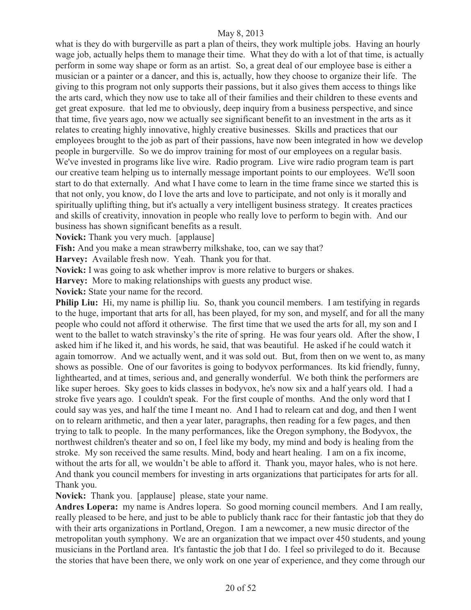what is they do with burgerville as part a plan of theirs, they work multiple jobs. Having an hourly wage job, actually helps them to manage their time. What they do with a lot of that time, is actually perform in some way shape or form as an artist. So, a great deal of our employee base is either a musician or a painter or a dancer, and this is, actually, how they choose to organize their life. The giving to this program not only supports their passions, but it also gives them access to things like the arts card, which they now use to take all of their families and their children to these events and get great exposure. that led me to obviously, deep inquiry from a business perspective, and since that time, five years ago, now we actually see significant benefit to an investment in the arts as it relates to creating highly innovative, highly creative businesses. Skills and practices that our employees brought to the job as part of their passions, have now been integrated in how we develop people in burgerville. So we do improv training for most of our employees on a regular basis. We've invested in programs like live wire. Radio program. Live wire radio program team is part our creative team helping us to internally message important points to our employees. We'll soon start to do that externally. And what I have come to learn in the time frame since we started this is that not only, you know, do I love the arts and love to participate, and not only is it morally and spiritually uplifting thing, but it's actually a very intelligent business strategy. It creates practices and skills of creativity, innovation in people who really love to perform to begin with. And our business has shown significant benefits as a result.

**Novick:** Thank you very much. [applause]

**Fish:** And you make a mean strawberry milkshake, too, can we say that?

**Harvey:** Available fresh now. Yeah. Thank you for that.

**Novick:** I was going to ask whether improv is more relative to burgers or shakes.

**Harvey:** More to making relationships with guests any product wise.

**Novick:** State your name for the record.

**Philip Liu:** Hi, my name is phillip liu. So, thank you council members. I am testifying in regards to the huge, important that arts for all, has been played, for my son, and myself, and for all the many people who could not afford it otherwise. The first time that we used the arts for all, my son and I went to the ballet to watch stravinsky's the rite of spring. He was four years old. After the show, I asked him if he liked it, and his words, he said, that was beautiful. He asked if he could watch it again tomorrow. And we actually went, and it was sold out. But, from then on we went to, as many shows as possible. One of our favorites is going to bodyvox performances. Its kid friendly, funny, lighthearted, and at times, serious and, and generally wonderful. We both think the performers are like super heroes. Sky goes to kids classes in bodyvox, he's now six and a half years old. I had a stroke five years ago. I couldn't speak. For the first couple of months. And the only word that I could say was yes, and half the time I meant no. And I had to relearn cat and dog, and then I went on to relearn arithmetic, and then a year later, paragraphs, then reading for a few pages, and then trying to talk to people. In the many performances, like the Oregon symphony, the Bodyvox, the northwest children's theater and so on, I feel like my body, my mind and body is healing from the stroke. My son received the same results. Mind, body and heart healing. I am on a fix income, without the arts for all, we wouldn't be able to afford it. Thank you, mayor hales, who is not here. And thank you council members for investing in arts organizations that participates for arts for all. Thank you.

**Novick:** Thank you. [applause]please, state your name.

**Andres Lopera:** my name is Andres lopera. So good morning council members. And I am really, really pleased to be here, and just to be able to publicly thank racc for their fantastic job that they do with their arts organizations in Portland, Oregon. I am a newcomer, a new music director of the metropolitan youth symphony. We are an organization that we impact over 450 students, and young musicians in the Portland area. It's fantastic the job that I do. I feel so privileged to do it. Because the stories that have been there, we only work on one year of experience, and they come through our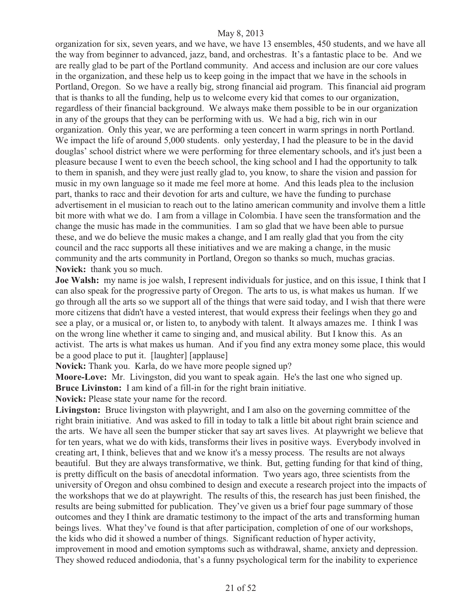organization for six, seven years, and we have, we have 13 ensembles, 450 students, and we have all the way from beginner to advanced, jazz, band, and orchestras. It's a fantastic place to be. And we are really glad to be part of the Portland community. And access and inclusion are our core values in the organization, and these help us to keep going in the impact that we have in the schools in Portland, Oregon. So we have a really big, strong financial aid program. This financial aid program that is thanks to all the funding, help us to welcome every kid that comes to our organization, regardless of their financial background. We always make them possible to be in our organization in any of the groups that they can be performing with us. We had a big, rich win in our organization. Only this year, we are performing a teen concert in warm springs in north Portland. We impact the life of around 5,000 students. only vesterday, I had the pleasure to be in the david douglas' school district where we were performing for three elementary schools, and it's just been a pleasure because I went to even the beech school, the king school and I had the opportunity to talk to them in spanish, and they were just really glad to, you know, to share the vision and passion for music in my own language so it made me feel more at home. And this leads plea to the inclusion part, thanks to racc and their devotion for arts and culture, we have the funding to purchase advertisement in el musician to reach out to the latino american community and involve them a little bit more with what we do. I am from a village in Colombia. I have seen the transformation and the change the music has made in the communities. I am so glad that we have been able to pursue these, and we do believe the music makes a change, and I am really glad that you from the city council and the racc supports all these initiatives and we are making a change, in the music community and the arts community in Portland, Oregon so thanks so much, muchas gracias. **Novick:** thank you so much.

**Joe Walsh:** my name is joe walsh, I represent individuals for justice, and on this issue, I think that I can also speak for the progressive party of Oregon. The arts to us, is what makes us human. If we go through all the arts so we support all of the things that were said today, and I wish that there were more citizens that didn't have a vested interest, that would express their feelings when they go and see a play, or a musical or, or listen to, to anybody with talent. It always amazes me. I think I was on the wrong line whether it came to singing and, and musical ability. But I know this. As an activist. The arts is what makes us human. And if you find any extra money some place, this would be a good place to put it. [laughter] [applause]

**Novick:** Thank you. Karla, do we have more people signed up?

**Moore-Love:** Mr. Livingston, did you want to speak again. He's the last one who signed up. **Bruce Livinston:** I am kind of a fill-in for the right brain initiative.

**Novick:** Please state your name for the record.

**Livingston:** Bruce livingston with playwright, and I am also on the governing committee of the right brain initiative. And was asked to fill in today to talk a little bit about right brain science and the arts. We have all seen the bumper sticker that say art saves lives. At playwright we believe that for ten years, what we do with kids, transforms their lives in positive ways. Everybody involved in creating art, I think, believes that and we know it's a messy process. The results are not always beautiful. But they are always transformative, we think. But, getting funding for that kind of thing, is pretty difficult on the basis of anecdotal information. Two years ago, three scientists from the university of Oregon and ohsu combined to design and execute a research project into the impacts of the workshops that we do at playwright. The results of this, the research has just been finished, the results are being submitted for publication. They've given us a brief four page summary of those outcomes and they I think are dramatic testimony to the impact of the arts and transforming human beings lives. What they've found is that after participation, completion of one of our workshops, the kids who did it showed a number of things. Significant reduction of hyper activity, improvement in mood and emotion symptoms such as withdrawal, shame, anxiety and depression. They showed reduced andiodonia, that's a funny psychological term for the inability to experience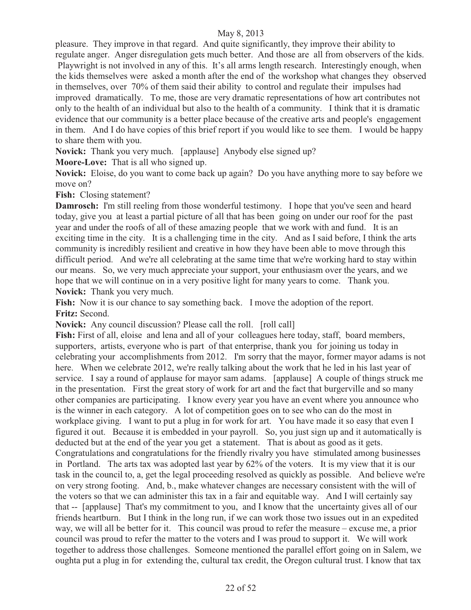pleasure. They improve in that regard. And quite significantly, they improve their ability to regulate anger. Anger disregulation gets much better. And those are all from observers of the kids. Playwright is not involved in any of this. It's all arms length research. Interestingly enough, when the kids themselves were asked a month after the end of the workshop what changes they observed in themselves, over 70% of them said their ability to control and regulate their impulses had improved dramatically. To me, those are very dramatic representations of how art contributes not only to the health of an individual but also to the health of a community. I think that it is dramatic evidence that our community is a better place because of the creative arts and people's engagement in them. And I do have copies of this brief report if you would like to see them. I would be happy to share them with you.

**Novick:** Thank you very much. [applause]Anybody else signed up?

**Moore-Love:** That is all who signed up.

**Novick:** Eloise, do you want to come back up again? Do you have anything more to say before we move on?

**Fish:** Closing statement?

**Damrosch:** I'm still reeling from those wonderful testimony. I hope that you've seen and heard today, give you at least a partial picture of all that has been going on under our roof for the past year and under the roofs of all of these amazing people that we work with and fund. It is an exciting time in the city. It is a challenging time in the city. And as I said before, I think the arts community is incredibly resilient and creative in how they have been able to move through this difficult period. And we're all celebrating at the same time that we're working hard to stay within our means. So, we very much appreciate your support, your enthusiasm over the years, and we hope that we will continue on in a very positive light for many years to come. Thank you. **Novick:** Thank you very much.

**Fish:** Now it is our chance to say something back. I move the adoption of the report. **Fritz:** Second.

**Novick:** Any council discussion? Please call the roll. [roll call]

**Fish:** First of all, eloise and lena and all of your colleagues here today, staff, board members, supporters, artists, everyone who is part of that enterprise, thank you for joining us today in celebrating your accomplishments from 2012. I'm sorry that the mayor, former mayor adams is not here. When we celebrate 2012, we're really talking about the work that he led in his last year of service. I say a round of applause for mayor sam adams. [applause]A couple of things struck me in the presentation. First the great story of work for art and the fact that burgerville and so many other companies are participating. I know every year you have an event where you announce who is the winner in each category. A lot of competition goes on to see who can do the most in workplace giving. I want to put a plug in for work for art. You have made it so easy that even I figured it out. Because it is embedded in your payroll. So, you just sign up and it automatically is deducted but at the end of the year you get a statement. That is about as good as it gets. Congratulations and congratulations for the friendly rivalry you have stimulated among businesses in Portland. The arts tax was adopted last year by 62% of the voters. It is my view that it is our task in the council to, a, get the legal proceeding resolved as quickly as possible. And believe we're on very strong footing. And, b., make whatever changes are necessary consistent with the will of the voters so that we can administer this tax in a fair and equitable way. And I will certainly say that -- [applause]That's my commitment to you, and I know that the uncertainty gives all of our friends heartburn. But I think in the long run, if we can work those two issues out in an expedited way, we will all be better for it. This council was proud to refer the measure – excuse me, a prior council was proud to refer the matter to the voters and I was proud to support it. We will work together to address those challenges. Someone mentioned the parallel effort going on in Salem, we oughta put a plug in for extending the, cultural tax credit, the Oregon cultural trust. I know that tax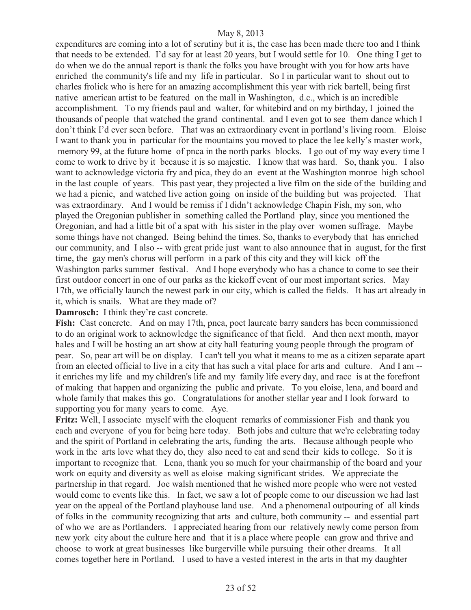expenditures are coming into a lot of scrutiny but it is, the case has been made there too and I think that needs to be extended. I'd say for at least 20 years, but I would settle for 10. One thing I get to do when we do the annual report is thank the folks you have brought with you for how arts have enriched the community's life and my life in particular. So I in particular want to shout out to charles frolick who is here for an amazing accomplishment this year with rick bartell, being first native american artist to be featured on the mall in Washington, d.c., which is an incredible accomplishment. To my friends paul and walter, for whitebird and on my birthday, I joined the thousands of people that watched the grand continental. and I even got to see them dance which I don't think I'd ever seen before. That was an extraordinary event in portland's living room. Eloise I want to thank you in particular for the mountains you moved to place the lee kelly's master work, memory 99, at the future home of pnca in the north parks blocks. I go out of my way every time I come to work to drive by it because it is so majestic. I know that was hard. So, thank you. I also want to acknowledge victoria fry and pica, they do an event at the Washington monroe high school in the last couple of years. This past year, they projected a live film on the side of the building and we had a picnic, and watched live action going on inside of the building but was projected. That was extraordinary. And I would be remiss if I didn't acknowledge Chapin Fish, my son, who played the Oregonian publisher in something called the Portland play, since you mentioned the Oregonian, and had a little bit of a spat with his sister in the play over women suffrage. Maybe some things have not changed. Being behind the times. So, thanks to everybody that has enriched our community, and I also -- with great pride just want to also announce that in august, for the first time, the gay men's chorus will perform in a park of this city and they will kick off the Washington parks summer festival. And I hope everybody who has a chance to come to see their first outdoor concert in one of our parks as the kickoff event of our most important series. May 17th, we officially launch the newest park in our city, which is called the fields. It has art already in it, which is snails. What are they made of?

**Damrosch:** I think they're cast concrete.

Fish: Cast concrete. And on may 17th, pnca, poet laureate barry sanders has been commissioned to do an original work to acknowledge the significance of that field. And then next month, mayor hales and I will be hosting an art show at city hall featuring young people through the program of pear. So, pear art will be on display. I can't tell you what it means to me as a citizen separate apart from an elected official to live in a city that has such a vital place for arts and culture. And I am - it enriches my life and my children's life and my family life every day, and racc is at the forefront of making that happen and organizing the public and private. To you eloise, lena, and board and whole family that makes this go. Congratulations for another stellar year and I look forward to supporting you for many years to come. Aye.

**Fritz:** Well, I associate myself with the eloquent remarks of commissioner Fish and thank you each and everyone of you for being here today. Both jobs and culture that we're celebrating today and the spirit of Portland in celebrating the arts, funding the arts. Because although people who work in the arts love what they do, they also need to eat and send their kids to college. So it is important to recognize that. Lena, thank you so much for your chairmanship of the board and your work on equity and diversity as well as eloise making significant strides. We appreciate the partnership in that regard. Joe walsh mentioned that he wished more people who were not vested would come to events like this. In fact, we saw a lot of people come to our discussion we had last year on the appeal of the Portland playhouse land use. And a phenomenal outpouring of all kinds of folks in the community recognizing that arts and culture, both community -- and essential part of who we are as Portlanders. I appreciated hearing from our relatively newly come person from new york city about the culture here and that it is a place where people can grow and thrive and choose to work at great businesses like burgerville while pursuing their other dreams. It all comes together here in Portland. I used to have a vested interest in the arts in that my daughter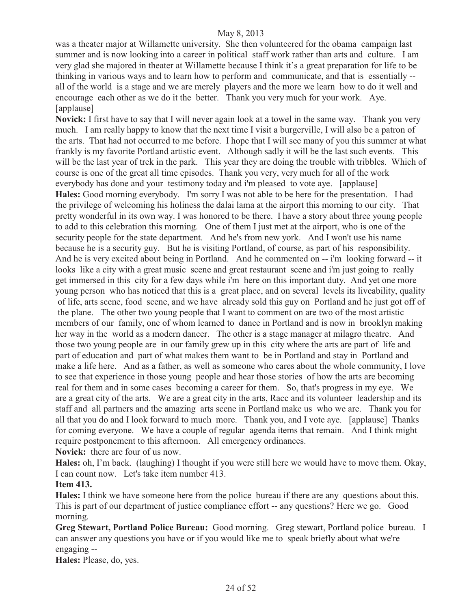was a theater major at Willamette university. She then volunteered for the obama campaign last summer and is now looking into a career in political staff work rather than arts and culture. I am very glad she majored in theater at Willamette because I think it's a great preparation for life to be thinking in various ways and to learn how to perform and communicate, and that is essentially - all of the world is a stage and we are merely players and the more we learn how to do it well and encourage each other as we do it the better. Thank you very much for your work. Aye. [applause]

**Novick:** I first have to say that I will never again look at a towel in the same way. Thank you very much. I am really happy to know that the next time I visit a burgerville, I will also be a patron of the arts. That had not occurred to me before. I hope that I will see many of you this summer at what frankly is my favorite Portland artistic event. Although sadly it will be the last such events. This will be the last year of trek in the park. This year they are doing the trouble with tribbles. Which of course is one of the great all time episodes. Thank you very, very much for all of the work everybody has done and your testimony today and i'm pleased to vote aye. [applause] **Hales:** Good morning everybody. I'm sorry I was not able to be here for the presentation. I had the privilege of welcoming his holiness the dalai lama at the airport this morning to our city. That pretty wonderful in its own way. I was honored to be there. I have a story about three young people to add to this celebration this morning. One of them I just met at the airport, who is one of the security people for the state department. And he's from new york. And I won't use his name because he is a security guy. But he is visiting Portland, of course, as part of his responsibility. And he is very excited about being in Portland. And he commented on -- i'm looking forward -- it looks like a city with a great music scene and great restaurant scene and i'm just going to really get immersed in this city for a few days while i'm here on this important duty. And yet one more young person who has noticed that this is a great place, and on several levels its liveability, quality of life, arts scene, food scene, and we have already sold this guy on Portland and he just got off of the plane. The other two young people that I want to comment on are two of the most artistic members of our family, one of whom learned to dance in Portland and is now in brooklyn making her way in the world as a modern dancer. The other is a stage manager at milagro theatre. And those two young people are in our family grew up in this city where the arts are part of life and part of education and part of what makes them want to be in Portland and stay in Portland and make a life here. And as a father, as well as someone who cares about the whole community, I love to see that experience in those young people and hear those stories of how the arts are becoming real for them and in some cases becoming a career for them. So, that's progress in my eye. We are a great city of the arts. We are a great city in the arts, Racc and its volunteer leadership and its staff and all partners and the amazing arts scene in Portland make us who we are. Thank you for all that you do and I look forward to much more. Thank you, and I vote aye. [applause]Thanks for coming everyone. We have a couple of regular agenda items that remain. And I think might require postponement to this afternoon. All emergency ordinances. **Novick:** there are four of us now.

**Hales:** oh, I'm back. (laughing) I thought if you were still here we would have to move them. Okay, I can count now. Let's take item number 413.

#### **Item 413.**

**Hales:** I think we have someone here from the police bureau if there are any questions about this. This is part of our department of justice compliance effort -- any questions? Here we go. Good morning.

**Greg Stewart, Portland Police Bureau:** Good morning. Greg stewart, Portland police bureau. I can answer any questions you have or if you would like me to speak briefly about what we're engaging --

**Hales:** Please, do, yes.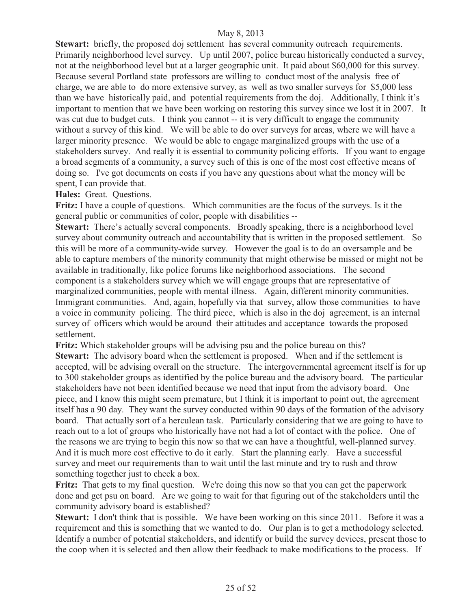Stewart: briefly, the proposed doj settlement has several community outreach requirements. Primarily neighborhood level survey. Up until 2007, police bureau historically conducted a survey, not at the neighborhood level but at a larger geographic unit. It paid about \$60,000 for this survey. Because several Portland state professors are willing to conduct most of the analysis free of charge, we are able to do more extensive survey, as well as two smaller surveys for \$5,000 less than we have historically paid, and potential requirements from the doj. Additionally, I think it's important to mention that we have been working on restoring this survey since we lost it in 2007. It was cut due to budget cuts. I think you cannot -- it is very difficult to engage the community without a survey of this kind. We will be able to do over surveys for areas, where we will have a larger minority presence. We would be able to engage marginalized groups with the use of a stakeholders survey. And really it is essential to community policing efforts. If you want to engage a broad segments of a community, a survey such of this is one of the most cost effective means of doing so. I've got documents on costs if you have any questions about what the money will be spent, I can provide that.

**Hales:** Great. Questions.

**Fritz:** I have a couple of questions. Which communities are the focus of the surveys. Is it the general public or communities of color, people with disabilities --

**Stewart:** There's actually several components. Broadly speaking, there is a neighborhood level survey about community outreach and accountability that is written in the proposed settlement. So this will be more of a community-wide survey. However the goal is to do an oversample and be able to capture members of the minority community that might otherwise be missed or might not be available in traditionally, like police forums like neighborhood associations. The second component is a stakeholders survey which we will engage groups that are representative of marginalized communities, people with mental illness. Again, different minority communities. Immigrant communities. And, again, hopefully via that survey, allow those communities to have a voice in community policing. The third piece, which is also in the doj agreement, is an internal survey of officers which would be around their attitudes and acceptance towards the proposed settlement.

**Fritz:** Which stakeholder groups will be advising psu and the police bureau on this? **Stewart:** The advisory board when the settlement is proposed. When and if the settlement is accepted, will be advising overall on the structure. The intergovernmental agreement itself is for up to 300 stakeholder groups as identified by the police bureau and the advisory board. The particular stakeholders have not been identified because we need that input from the advisory board. One piece, and I know this might seem premature, but I think it is important to point out, the agreement itself has a 90 day. They want the survey conducted within 90 days of the formation of the advisory board. That actually sort of a herculean task. Particularly considering that we are going to have to reach out to a lot of groups who historically have not had a lot of contact with the police. One of the reasons we are trying to begin this now so that we can have a thoughtful, well-planned survey. And it is much more cost effective to do it early. Start the planning early. Have a successful survey and meet our requirements than to wait until the last minute and try to rush and throw something together just to check a box.

**Fritz:** That gets to my final question. We're doing this now so that you can get the paperwork done and get psu on board. Are we going to wait for that figuring out of the stakeholders until the community advisory board is established?

**Stewart:** I don't think that is possible. We have been working on this since 2011. Before it was a requirement and this is something that we wanted to do. Our plan is to get a methodology selected. Identify a number of potential stakeholders, and identify or build the survey devices, present those to the coop when it is selected and then allow their feedback to make modifications to the process. If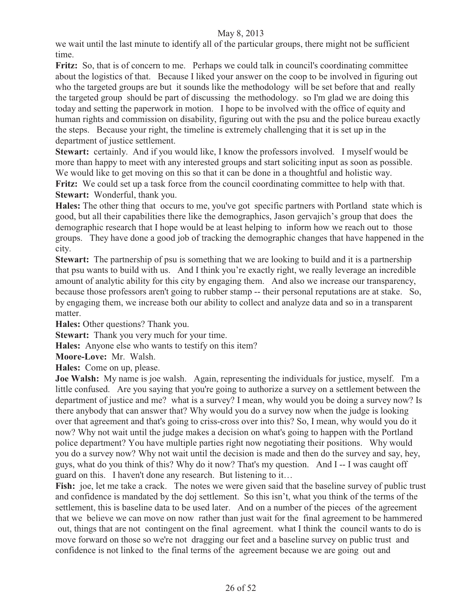we wait until the last minute to identify all of the particular groups, there might not be sufficient time.

Fritz: So, that is of concern to me. Perhaps we could talk in council's coordinating committee about the logistics of that. Because I liked your answer on the coop to be involved in figuring out who the targeted groups are but it sounds like the methodology will be set before that and really the targeted group should be part of discussing the methodology. so I'm glad we are doing this today and setting the paperwork in motion. I hope to be involved with the office of equity and human rights and commission on disability, figuring out with the psu and the police bureau exactly the steps. Because your right, the timeline is extremely challenging that it is set up in the department of justice settlement.

**Stewart:** certainly. And if you would like, I know the professors involved. I myself would be more than happy to meet with any interested groups and start soliciting input as soon as possible. We would like to get moving on this so that it can be done in a thoughtful and holistic way.

Fritz: We could set up a task force from the council coordinating committee to help with that. **Stewart:** Wonderful, thank you.

**Hales:** The other thing that occurs to me, you've got specific partners with Portland state which is good, but all their capabilities there like the demographics, Jason gervajich's group that does the demographic research that I hope would be at least helping to inform how we reach out to those groups. They have done a good job of tracking the demographic changes that have happened in the city.

**Stewart:** The partnership of psu is something that we are looking to build and it is a partnership that psu wants to build with us. And I think you're exactly right, we really leverage an incredible amount of analytic ability for this city by engaging them. And also we increase our transparency, because those professors aren't going to rubber stamp -- their personal reputations are at stake. So, by engaging them, we increase both our ability to collect and analyze data and so in a transparent matter.

**Hales:** Other questions? Thank you.

**Stewart:** Thank you very much for your time.

**Hales:** Anyone else who wants to testify on this item?

**Moore-Love:** Mr. Walsh.

**Hales:** Come on up, please.

**Joe Walsh:** My name is joe walsh. Again, representing the individuals for justice, myself. I'm a little confused. Are you saying that you're going to authorize a survey on a settlement between the department of justice and me? what is a survey? I mean, why would you be doing a survey now? Is there anybody that can answer that? Why would you do a survey now when the judge is looking over that agreement and that's going to criss-cross over into this? So, I mean, why would you do it now? Why not wait until the judge makes a decision on what's going to happen with the Portland police department? You have multiple parties right now negotiating their positions. Why would you do a survey now? Why not wait until the decision is made and then do the survey and say, hey, guys, what do you think of this? Why do it now? That's my question. And I -- I was caught off guard on this. I haven't done any research. But listening to it…

Fish: joe, let me take a crack. The notes we were given said that the baseline survey of public trust and confidence is mandated by the doj settlement. So this isn't, what you think of the terms of the settlement, this is baseline data to be used later. And on a number of the pieces of the agreement that we believe we can move on now rather than just wait for the final agreement to be hammered out, things that are not contingent on the final agreement. what I think the council wants to do is move forward on those so we're not dragging our feet and a baseline survey on public trust and confidence is not linked to the final terms of the agreement because we are going out and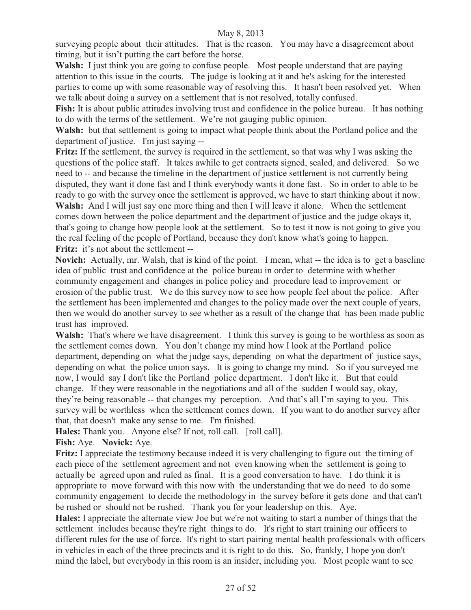surveying people about their attitudes. That is the reason. You may have a disagreement about timing, but it isn't putting the cart before the horse.

Walsh: I just think you are going to confuse people. Most people understand that are paying attention to this issue in the courts. The judge is looking at it and he's asking for the interested parties to come up with some reasonable way of resolving this. It hasn't been resolved yet. When we talk about doing a survey on a settlement that is not resolved, totally confused.

**Fish:** It is about public attitudes involving trust and confidence in the police bureau. It has nothing to do with the terms of the settlement. We're not gauging public opinion.

Walsh: but that settlement is going to impact what people think about the Portland police and the department of justice. I'm just saying --

**Fritz:** If the settlement, the survey is required in the settlement, so that was why I was asking the questions of the police staff. It takes awhile to get contracts signed, sealed, and delivered. So we need to -- and because the timeline in the department of justice settlement is not currently being disputed, they want it done fast and I think everybody wants it done fast. So in order to able to be ready to go with the survey once the settlement is approved, we have to start thinking about it now.

Walsh: And I will just say one more thing and then I will leave it alone. When the settlement comes down between the police department and the department of justice and the judge okays it, that's going to change how people look at the settlement. So to test it now is not going to give you the real feeling of the people of Portland, because they don't know what's going to happen. **Fritz:** it's not about the settlement --

**Novich:** Actually, mr. Walsh, that is kind of the point. I mean, what -- the idea is to get a baseline idea of public trust and confidence at the police bureau in order to determine with whether community engagement and changes in police policy and procedure lead to improvement or erosion of the public trust. We do this survey now to see how people feel about the police. After the settlement has been implemented and changes to the policy made over the next couple of years, then we would do another survey to see whether as a result of the change that has been made public trust has improved.

Walsh: That's where we have disagreement. I think this survey is going to be worthless as soon as the settlement comes down. You don't change my mind how I look at the Portland police department, depending on what the judge says, depending on what the department of justice says, depending on what the police union says. It is going to change my mind. So if you surveyed me now, I would say I don't like the Portland police department. I don't like it. But that could change. If they were reasonable in the negotiations and all of the sudden I would say, okay, they're being reasonable -- that changes my perception. And that's all I'm saying to you. This survey will be worthless when the settlement comes down. If you want to do another survey after that, that doesn't make any sense to me. I'm finished.

**Hales:** Thank you. Anyone else? If not, roll call. [roll call].

**Fish:** Aye. **Novick:** Aye.

**Fritz:** I appreciate the testimony because indeed it is very challenging to figure out the timing of each piece of the settlement agreement and not even knowing when the settlement is going to actually be agreed upon and ruled as final. It is a good conversation to have. I do think it is appropriate to move forward with this now with the understanding that we do need to do some community engagement to decide the methodology in the survey before it gets done and that can't be rushed or should not be rushed. Thank you for your leadership on this. Aye.

**Hales:** I appreciate the alternate view Joe but we're not waiting to start a number of things that the settlement includes because they're right things to do. It's right to start training our officers to different rules for the use of force. It's right to start pairing mental health professionals with officers in vehicles in each of the three precincts and it is right to do this. So, frankly, I hope you don't mind the label, but everybody in this room is an insider, including you. Most people want to see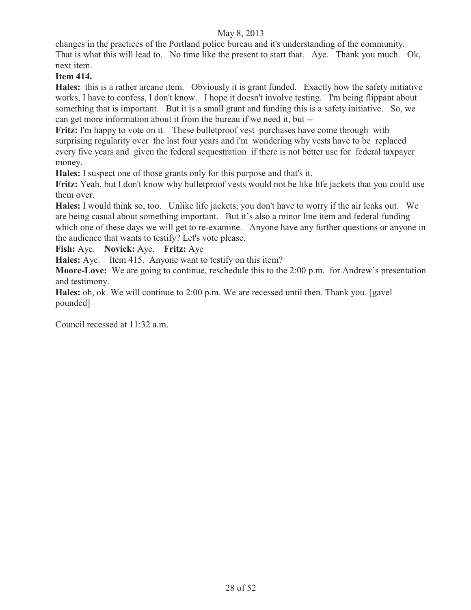changes in the practices of the Portland police bureau and it's understanding of the community. That is what this will lead to. No time like the present to start that. Aye. Thank you much. Ok, next item.

# **Item 414.**

**Hales:** this is a rather arcane item. Obviously it is grant funded. Exactly how the safety initiative works, I have to confess, I don't know. I hope it doesn't involve testing. I'm being flippant about something that is important. But it is a small grant and funding this is a safety initiative. So, we can get more information about it from the bureau if we need it, but --

**Fritz:** I'm happy to vote on it. These bullet proof vest purchases have come through with surprising regularity over the last four years and i'm wondering why vests have to be replaced every five years and given the federal sequestration if there is not better use for federal taxpayer money.

**Hales:** I suspect one of those grants only for this purpose and that's it.

**Fritz:** Yeah, but I don't know why bulletproof vests would not be like life jackets that you could use them over.

**Hales:** I would think so, too. Unlike life jackets, you don't have to worry if the air leaks out. We are being casual about something important. But it's also a minor line item and federal funding which one of these days we will get to re-examine. Anyone have any further questions or anyone in the audience that wants to testify? Let's vote please.

**Fish:** Aye. **Novick:** Aye. **Fritz:** Aye

**Hales:** Aye. Item 415. Anyone want to testify on this item?

**Moore-Love:** We are going to continue, reschedule this to the 2:00 p.m. for Andrew's presentation and testimony.

**Hales:** oh, ok. We will continue to 2:00 p.m. We are recessed until then. Thank you. [gavel pounded]

Council recessed at 11:32 a.m.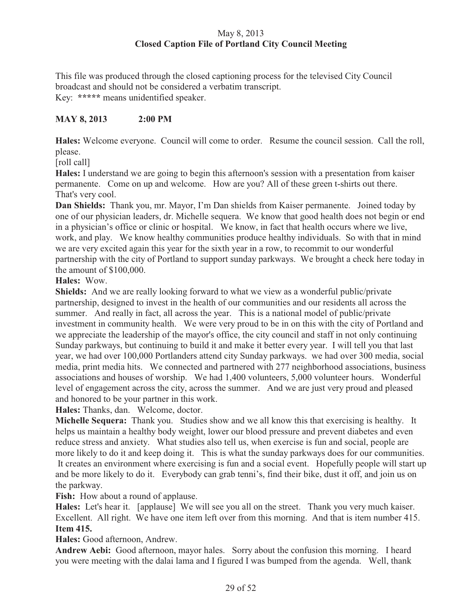# May 8, 2013 **Closed Caption File of Portland City Council Meeting**

This file was produced through the closed captioning process for the televised City Council broadcast and should not be considered a verbatim transcript. Key: **\*\*\*\*\*** means unidentified speaker.

# **MAY 8, 2013 2:00 PM**

**Hales:** Welcome everyone. Council will come to order. Resume the council session. Call the roll, please.

[roll call]

**Hales:** I understand we are going to begin this afternoon's session with a presentation from kaiser permanente. Come on up and welcome. How are you? All of these green t-shirts out there. That's very cool.

**Dan Shields:** Thank you, mr. Mayor, I'm Dan shields from Kaiser permanente. Joined today by one of our physician leaders, dr. Michelle sequera. We know that good health does not begin or end in a physician's office or clinic or hospital. We know, in fact that health occurs where we live, work, and play. We know healthy communities produce healthy individuals. So with that in mind we are very excited again this year for the sixth year in a row, to recommit to our wonderful partnership with the city of Portland to support sunday parkways. We brought a check here today in the amount of \$100,000.

# **Hales:** Wow.

**Shields:** And we are really looking forward to what we view as a wonderful public/private partnership, designed to invest in the health of our communities and our residents all across the summer. And really in fact, all across the year. This is a national model of public/private investment in community health. We were very proud to be in on this with the city of Portland and we appreciate the leadership of the mayor's office, the city council and staff in not only continuing Sunday parkways, but continuing to build it and make it better every year. I will tell you that last year, we had over 100,000 Portlanders attend city Sunday parkways. we had over 300 media, social media, print media hits. We connected and partnered with 277 neighborhood associations, business associations and houses of worship. We had 1,400 volunteers, 5,000 volunteer hours. Wonderful level of engagement across the city, across the summer. And we are just very proud and pleased and honored to be your partner in this work.

**Hales:** Thanks, dan. Welcome, doctor.

**Michelle Sequera:** Thank you. Studies show and we all know this that exercising is healthy. It helps us maintain a healthy body weight, lower our blood pressure and prevent diabetes and even reduce stress and anxiety. What studies also tell us, when exercise is fun and social, people are more likely to do it and keep doing it. This is what the sunday parkways does for our communities. It creates an environment where exercising is fun and a social event. Hopefully people will start up and be more likely to do it. Everybody can grab tenni's, find their bike, dust it off, and join us on the parkway.

# Fish: How about a round of applause.

**Hales:** Let's hear it. [applause]We will see you all on the street. Thank you very much kaiser. Excellent. All right. We have one item left over from this morning. And that is item number 415. **Item 415.** 

**Hales:** Good afternoon, Andrew.

**Andrew Aebi:** Good afternoon, mayor hales. Sorry about the confusion this morning. I heard you were meeting with the dalai lama and I figured I was bumped from the agenda. Well, thank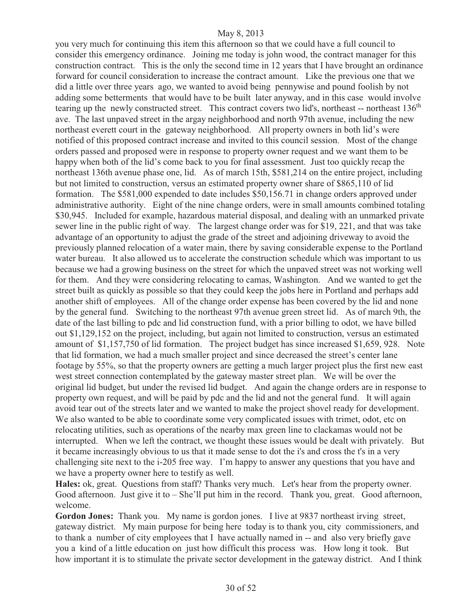you very much for continuing this item this afternoon so that we could have a full council to consider this emergency ordinance. Joining me today is john wood, the contract manager for this construction contract. This is the only the second time in 12 years that I have brought an ordinance forward for council consideration to increase the contract amount. Like the previous one that we did a little over three years ago, we wanted to avoid being pennywise and pound foolish by not adding some betterments that would have to be built later anyway, and in this case would involve tearing up the newly constructed street. This contract covers two lid's, northeast  $-$  northeast  $136<sup>th</sup>$ ave. The last unpaved street in the argay neighborhood and north 97th avenue, including the new northeast everett court in the gateway neighborhood. All property owners in both lid's were notified of this proposed contract increase and invited to this council session. Most of the change orders passed and proposed were in response to property owner request and we want them to be happy when both of the lid's come back to you for final assessment. Just too quickly recap the northeast 136th avenue phase one, lid. As of march 15th, \$581,214 on the entire project, including but not limited to construction, versus an estimated property owner share of \$865,110 of lid formation. The \$581,000 expended to date includes \$50,156.71 in change orders approved under administrative authority. Eight of the nine change orders, were in small amounts combined totaling \$30,945. Included for example, hazardous material disposal, and dealing with an unmarked private sewer line in the public right of way. The largest change order was for \$19, 221, and that was take advantage of an opportunity to adjust the grade of the street and adjoining driveway to avoid the previously planned relocation of a water main, there by saving considerable expense to the Portland water bureau. It also allowed us to accelerate the construction schedule which was important to us because we had a growing business on the street for which the unpaved street was not working well for them. And they were considering relocating to camas, Washington. And we wanted to get the street built as quickly as possible so that they could keep the jobs here in Portland and perhaps add another shift of employees. All of the change order expense has been covered by the lid and none by the general fund. Switching to the northeast 97th avenue green street lid. As of march 9th, the date of the last billing to pdc and lid construction fund, with a prior billing to odot, we have billed out \$1,129,152 on the project, including, but again not limited to construction, versus an estimated amount of \$1,157,750 of lid formation. The project budget has since increased \$1,659, 928. Note that lid formation, we had a much smaller project and since decreased the street's center lane footage by 55%, so that the property owners are getting a much larger project plus the first new east west street connection contemplated by the gateway master street plan. We will be over the original lid budget, but under the revised lid budget. And again the change orders are in response to property own request, and will be paid by pdc and the lid and not the general fund. It will again avoid tear out of the streets later and we wanted to make the project shovel ready for development. We also wanted to be able to coordinate some very complicated issues with trimet, odot, etc on relocating utilities, such as operations of the nearby max green line to clackamas would not be interrupted. When we left the contract, we thought these issues would be dealt with privately. But it became increasingly obvious to us that it made sense to dot the i's and cross the t's in a very challenging site next to the i-205 free way. I'm happy to answer any questions that you have and we have a property owner here to testify as well.

**Hales:** ok, great. Questions from staff? Thanks very much. Let's hear from the property owner. Good afternoon. Just give it to – She'll put him in the record. Thank you, great. Good afternoon, welcome.

**Gordon Jones:** Thank you. My name is gordon jones. I live at 9837 northeast irving street, gateway district. My main purpose for being here today is to thank you, city commissioners, and to thank a number of city employees that I have actually named in -- and also very briefly gave you a kind of a little education on just how difficult this process was. How long it took. But how important it is to stimulate the private sector development in the gateway district. And I think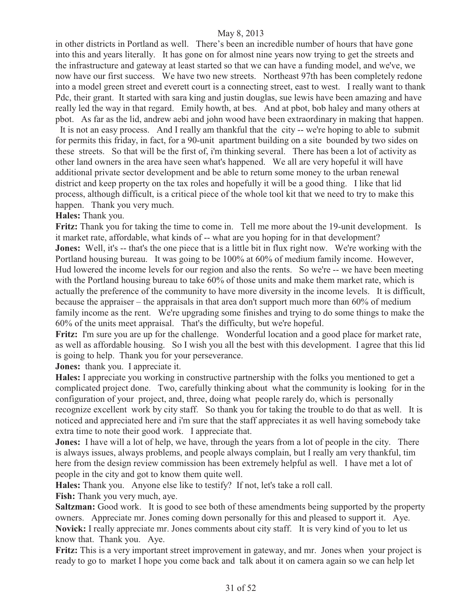in other districts in Portland as well. There's been an incredible number of hours that have gone into this and years literally. It has gone on for almost nine years now trying to get the streets and the infrastructure and gateway at least started so that we can have a funding model, and we've, we now have our first success. We have two new streets. Northeast 97th has been completely redone into a model green street and everett court is a connecting street, east to west. I really want to thank Pdc, their grant. It started with sara king and justin douglas, sue lewis have been amazing and have really led the way in that regard. Emily howth, at bes. And at pbot, bob haley and many others at pbot. As far as the lid, andrew aebi and john wood have been extraordinary in making that happen.

 It is not an easy process. And I really am thankful that the city -- we're hoping to able to submit for permits this friday, in fact, for a 90-unit apartment building on a site bounded by two sides on these streets. So that will be the first of, i'm thinking several. There has been a lot of activity as other land owners in the area have seen what's happened. We all are very hopeful it will have additional private sector development and be able to return some money to the urban renewal district and keep property on the tax roles and hopefully it will be a good thing. I like that lid process, although difficult, is a critical piece of the whole tool kit that we need to try to make this happen. Thank you very much.

**Hales:** Thank you.

**Fritz:** Thank you for taking the time to come in. Tell me more about the 19-unit development. Is it market rate, affordable, what kinds of -- what are you hoping for in that development? **Jones:** Well, it's -- that's the one piece that is a little bit in flux right now. We're working with the Portland housing bureau. It was going to be 100% at 60% of medium family income. However, Hud lowered the income levels for our region and also the rents. So we're -- we have been meeting with the Portland housing bureau to take 60% of those units and make them market rate, which is actually the preference of the community to have more diversity in the income levels. It is difficult, because the appraiser – the appraisals in that area don't support much more than 60% of medium family income as the rent. We're upgrading some finishes and trying to do some things to make the 60% of the units meet appraisal. That's the difficulty, but we're hopeful.

**Fritz:** I'm sure you are up for the challenge. Wonderful location and a good place for market rate, as well as affordable housing. So I wish you all the best with this development. I agree that this lid is going to help. Thank you for your perseverance.

**Jones:** thank you. I appreciate it.

**Hales:** I appreciate you working in constructive partnership with the folks you mentioned to get a complicated project done. Two, carefully thinking about what the community is looking for in the configuration of your project, and, three, doing what people rarely do, which is personally recognize excellent work by city staff. So thank you for taking the trouble to do that as well. It is noticed and appreciated here and i'm sure that the staff appreciates it as well having somebody take extra time to note their good work. I appreciate that.

**Jones:** I have will a lot of help, we have, through the years from a lot of people in the city. There is always issues, always problems, and people always complain, but I really am very thankful, tim here from the design review commission has been extremely helpful as well. I have met a lot of people in the city and got to know them quite well.

**Hales:** Thank you. Anyone else like to testify? If not, let's take a roll call.

**Fish:** Thank you very much, aye.

**Saltzman:** Good work. It is good to see both of these amendments being supported by the property owners. Appreciate mr. Jones coming down personally for this and pleased to support it. Aye. **Novick:** I really appreciate mr. Jones comments about city staff. It is very kind of you to let us know that. Thank you. Aye.

**Fritz:** This is a very important street improvement in gateway, and mr. Jones when your project is ready to go to market I hope you come back and talk about it on camera again so we can help let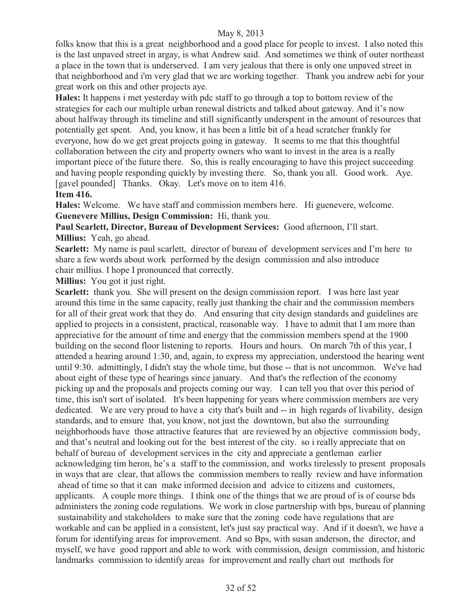folks know that this is a great neighborhood and a good place for people to invest. I also noted this is the last unpaved street in argay, is what Andrew said. And sometimes we think of outer northeast a place in the town that is underserved. I am very jealous that there is only one unpaved street in that neighborhood and i'm very glad that we are working together. Thank you andrew aebi for your great work on this and other projects aye.

**Hales:** It happens i met yesterday with pdc staff to go through a top to bottom review of the strategies for each our multiple urban renewal districts and talked about gateway. And it's now about halfway through its timeline and still significantly underspent in the amount of resources that potentially get spent. And, you know, it has been a little bit of a head scratcher frankly for everyone, how do we get great projects going in gateway. It seems to me that this thoughtful collaboration between the city and property owners who want to invest in the area is a really important piece of the future there. So, this is really encouraging to have this project succeeding and having people responding quickly by investing there. So, thank you all. Good work. Aye. [gavel pounded] Thanks. Okay. Let's move on to item 416.

#### **Item 416.**

**Hales:** Welcome. We have staff and commission members here. Hi guenevere, welcome. **Guenevere Millius, Design Commission:** Hi, thank you.

**Paul Scarlett, Director, Bureau of Development Services:** Good afternoon, I'll start. **Millius:** Yeah, go ahead.

**Scarlett:** My name is paul scarlett, director of bureau of development services and I'm here to share a few words about work performed by the design commission and also introduce chair millius. I hope I pronounced that correctly.

**Millius:** You got it just right.

**Scarlett:** thank you. She will present on the design commission report. I was here last year around this time in the same capacity, really just thanking the chair and the commission members for all of their great work that they do. And ensuring that city design standards and guidelines are applied to projects in a consistent, practical, reasonable way. I have to admit that I am more than appreciative for the amount of time and energy that the commission members spend at the 1900 building on the second floor listening to reports. Hours and hours. On march 7th of this year, I attended a hearing around 1:30, and, again, to express my appreciation, understood the hearing went until 9:30. admittingly, I didn't stay the whole time, but those -- that is not uncommon. We've had about eight of these type of hearings since january. And that's the reflection of the economy picking up and the proposals and projects coming our way. I can tell you that over this period of time, this isn't sort of isolated. It's been happening for years where commission members are very dedicated. We are very proud to have a city that's built and -- in high regards of livability, design standards, and to ensure that, you know, not just the downtown, but also the surrounding neighborhoods have those attractive features that are reviewed by an objective commission body, and that's neutral and looking out for the best interest of the city. so i really appreciate that on behalf of bureau of development services in the city and appreciate a gentleman earlier acknowledging tim heron, he's a staff to the commission, and works tirelessly to present proposals in ways that are clear, that allows the commission members to really review and have information ahead of time so that it can make informed decision and advice to citizens and customers, applicants. A couple more things. I think one of the things that we are proud of is of course bds administers the zoning code regulations. We work in close partnership with bps, bureau of planning sustainability and stakeholders to make sure that the zoning code have regulations that are workable and can be applied in a consistent, let's just say practical way. And if it doesn't, we have a forum for identifying areas for improvement. And so Bps, with susan anderson, the director, and myself, we have good rapport and able to work with commission, design commission, and historic landmarks commission to identify areas for improvement and really chart out methods for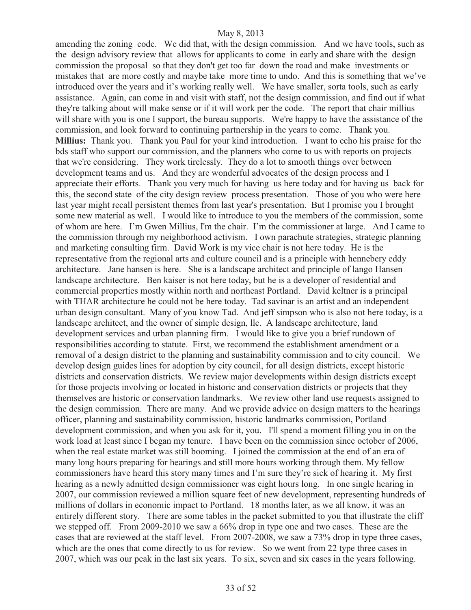amending the zoning code. We did that, with the design commission. And we have tools, such as the design advisory review that allows for applicants to come in early and share with the design commission the proposal so that they don't get too far down the road and make investments or mistakes that are more costly and maybe take more time to undo. And this is something that we've introduced over the years and it's working really well. We have smaller, sorta tools, such as early assistance. Again, can come in and visit with staff, not the design commission, and find out if what they're talking about will make sense or if it will work per the code. The report that chair millius will share with you is one I support, the bureau supports. We're happy to have the assistance of the commission, and look forward to continuing partnership in the years to come. Thank you. **Millius:** Thank you. Thank you Paul for your kind introduction. I want to echo his praise for the bds staff who support our commission, and the planners who come to us with reports on projects that we're considering. They work tirelessly. They do a lot to smooth things over between development teams and us. And they are wonderful advocates of the design process and I appreciate their efforts. Thank you very much for having us here today and for having us back for this, the second state of the city design review process presentation. Those of you who were here last year might recall persistent themes from last year's presentation. But I promise you I brought some new material as well. I would like to introduce to you the members of the commission, some of whom are here. I'm Gwen Millius, I'm the chair. I'm the commissioner at large. And I came to the commission through my neighborhood activism. I own parachute strategies, strategic planning and marketing consulting firm. David Work is my vice chair is not here today. He is the representative from the regional arts and culture council and is a principle with hennebery eddy architecture. Jane hansen is here. She is a landscape architect and principle of lango Hansen landscape architecture. Ben kaiser is not here today, but he is a developer of residential and commercial properties mostly within north and northeast Portland. David keltner is a principal with THAR architecture he could not be here today. Tad savinar is an artist and an independent urban design consultant. Many of you know Tad. And jeff simpson who is also not here today, is a landscape architect, and the owner of simple design, llc. A landscape architecture, land development services and urban planning firm. I would like to give you a brief rundown of responsibilities according to statute. First, we recommend the establishment amendment or a removal of a design district to the planning and sustainability commission and to city council. We develop design guides lines for adoption by city council, for all design districts, except historic districts and conservation districts. We review major developments within design districts except for those projects involving or located in historic and conservation districts or projects that they themselves are historic or conservation landmarks. We review other land use requests assigned to the design commission. There are many. And we provide advice on design matters to the hearings officer, planning and sustainability commission, historic landmarks commission, Portland development commission, and when you ask for it, you. I'll spend a moment filling you in on the work load at least since I began my tenure. I have been on the commission since october of 2006, when the real estate market was still booming. I joined the commission at the end of an era of many long hours preparing for hearings and still more hours working through them. My fellow commissioners have heard this story many times and I'm sure they're sick of hearing it. My first hearing as a newly admitted design commissioner was eight hours long. In one single hearing in 2007, our commission reviewed a million square feet of new development, representing hundreds of millions of dollars in economic impact to Portland. 18 months later, as we all know, it was an entirely different story. There are some tables in the packet submitted to you that illustrate the cliff we stepped off. From 2009-2010 we saw a 66% drop in type one and two cases. These are the cases that are reviewed at the staff level. From 2007-2008, we saw a 73% drop in type three cases, which are the ones that come directly to us for review. So we went from 22 type three cases in 2007, which was our peak in the last six years. To six, seven and six cases in the years following.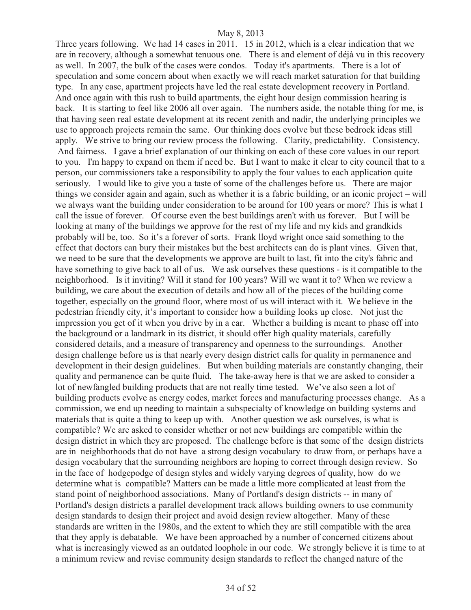Three years following. We had 14 cases in 2011. 15 in 2012, which is a clear indication that we are in recovery, although a somewhat tenuous one. There is and element of déjà vu in this recovery as well. In 2007, the bulk of the cases were condos. Today it's apartments. There is a lot of speculation and some concern about when exactly we will reach market saturation for that building type. In any case, apartment projects have led the real estate development recovery in Portland. And once again with this rush to build apartments, the eight hour design commission hearing is back. It is starting to feel like 2006 all over again. The numbers aside, the notable thing for me, is that having seen real estate development at its recent zenith and nadir, the underlying principles we use to approach projects remain the same. Our thinking does evolve but these bedrock ideas still apply. We strive to bring our review process the following. Clarity, predictability. Consistency. And fairness. I gave a brief explanation of our thinking on each of these core values in our report to you. I'm happy to expand on them if need be. But I want to make it clear to city council that to a person, our commissioners take a responsibility to apply the four values to each application quite seriously. I would like to give you a taste of some of the challenges before us. There are major things we consider again and again, such as whether it is a fabric building, or an iconic project – will we always want the building under consideration to be around for 100 years or more? This is what I call the issue of forever. Of course even the best buildings aren't with us forever. But I will be looking at many of the buildings we approve for the rest of my life and my kids and grandkids probably will be, too. So it's a forever of sorts. Frank lloyd wright once said something to the effect that doctors can bury their mistakes but the best architects can do is plant vines. Given that, we need to be sure that the developments we approve are built to last, fit into the city's fabric and have something to give back to all of us. We ask ourselves these questions - is it compatible to the neighborhood. Is it inviting? Will it stand for 100 years? Will we want it to? When we review a building, we care about the execution of details and how all of the pieces of the building come together, especially on the ground floor, where most of us will interact with it. We believe in the pedestrian friendly city, it's important to consider how a building looks up close. Not just the impression you get of it when you drive by in a car. Whether a building is meant to phase off into the background or a landmark in its district, it should offer high quality materials, carefully considered details, and a measure of transparency and openness to the surroundings. Another design challenge before us is that nearly every design district calls for quality in permanence and development in their design guidelines. But when building materials are constantly changing, their quality and permanence can be quite fluid. The take-away here is that we are asked to consider a lot of newfangled building products that are not really time tested. We've also seen a lot of building products evolve as energy codes, market forces and manufacturing processes change. As a commission, we end up needing to maintain a subspecialty of knowledge on building systems and materials that is quite a thing to keep up with. Another question we ask ourselves, is what is compatible? We are asked to consider whether or not new buildings are compatible within the design district in which they are proposed. The challenge before is that some of the design districts are in neighborhoods that do not have a strong design vocabulary to draw from, or perhaps have a design vocabulary that the surrounding neighbors are hoping to correct through design review. So in the face of hodgepodge of design styles and widely varying degrees of quality, how do we determine what is compatible? Matters can be made a little more complicated at least from the stand point of neighborhood associations. Many of Portland's design districts -- in many of Portland's design districts a parallel development track allows building owners to use community design standards to design their project and avoid design review altogether. Many of these standards are written in the 1980s, and the extent to which they are still compatible with the area that they apply is debatable. We have been approached by a number of concerned citizens about what is increasingly viewed as an outdated loophole in our code. We strongly believe it is time to at a minimum review and revise community design standards to reflect the changed nature of the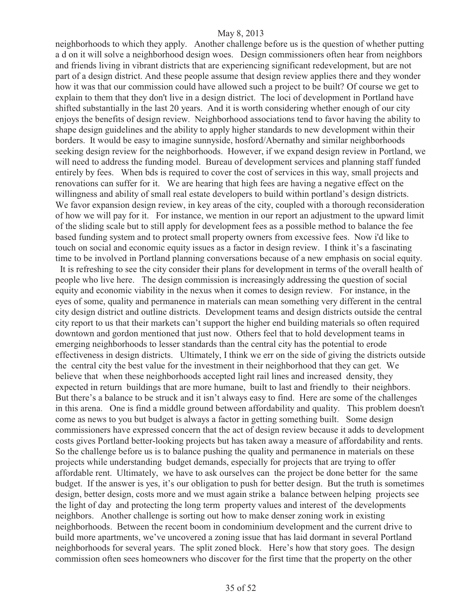neighborhoods to which they apply. Another challenge before us is the question of whether putting a d on it will solve a neighborhood design woes. Design commissioners often hear from neighbors and friends living in vibrant districts that are experiencing significant redevelopment, but are not part of a design district. And these people assume that design review applies there and they wonder how it was that our commission could have allowed such a project to be built? Of course we get to explain to them that they don't live in a design district. The loci of development in Portland have shifted substantially in the last 20 years. And it is worth considering whether enough of our city enjoys the benefits of design review. Neighborhood associations tend to favor having the ability to shape design guidelines and the ability to apply higher standards to new development within their borders. It would be easy to imagine sunnyside, hosford/Abernathy and similar neighborhoods seeking design review for the neighborhoods. However, if we expand design review in Portland, we will need to address the funding model. Bureau of development services and planning staff funded entirely by fees. When bds is required to cover the cost of services in this way, small projects and renovations can suffer for it. We are hearing that high fees are having a negative effect on the willingness and ability of small real estate developers to build within portland's design districts. We favor expansion design review, in key areas of the city, coupled with a thorough reconsideration of how we will pay for it. For instance, we mention in our report an adjustment to the upward limit of the sliding scale but to still apply for development fees as a possible method to balance the fee based funding system and to protect small property owners from excessive fees. Now i'd like to touch on social and economic equity issues as a factor in design review. I think it's a fascinating time to be involved in Portland planning conversations because of a new emphasis on social equity.

 It is refreshing to see the city consider their plans for development in terms of the overall health of people who live here. The design commission is increasingly addressing the question of social equity and economic viability in the nexus when it comes to design review. For instance, in the eyes of some, quality and permanence in materials can mean something very different in the central city design district and outline districts. Development teams and design districts outside the central city report to us that their markets can't support the higher end building materials so often required downtown and gordon mentioned that just now. Others feel that to hold development teams in emerging neighborhoods to lesser standards than the central city has the potential to erode effectiveness in design districts. Ultimately, I think we err on the side of giving the districts outside the central city the best value for the investment in their neighborhood that they can get. We believe that when these neighborhoods accepted light rail lines and increased density, they expected in return buildings that are more humane, built to last and friendly to their neighbors. But there's a balance to be struck and it isn't always easy to find. Here are some of the challenges in this arena. One is find a middle ground between affordability and quality. This problem doesn't come as news to you but budget is always a factor in getting something built. Some design commissioners have expressed concern that the act of design review because it adds to development costs gives Portland better-looking projects but has taken away a measure of affordability and rents. So the challenge before us is to balance pushing the quality and permanence in materials on these projects while understanding budget demands, especially for projects that are trying to offer affordable rent. Ultimately, we have to ask ourselves can the project be done better for the same budget. If the answer is yes, it's our obligation to push for better design. But the truth is sometimes design, better design, costs more and we must again strike a balance between helping projects see the light of day and protecting the long term property values and interest of the developments neighbors. Another challenge is sorting out how to make denser zoning work in existing neighborhoods. Between the recent boom in condominium development and the current drive to build more apartments, we've uncovered a zoning issue that has laid dormant in several Portland neighborhoods for several years. The split zoned block. Here's how that story goes. The design commission often sees homeowners who discover for the first time that the property on the other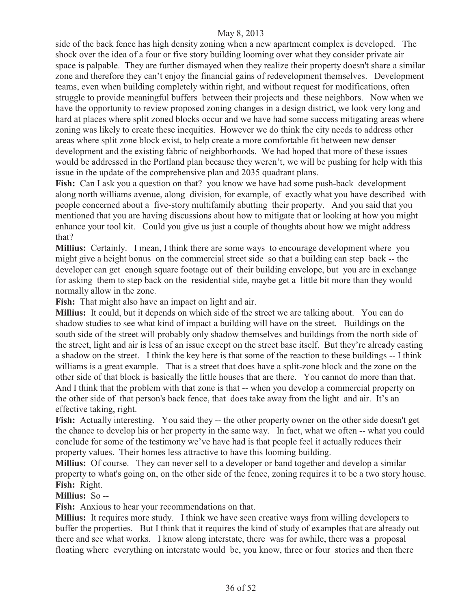side of the back fence has high density zoning when a new apartment complex is developed. The shock over the idea of a four or five story building looming over what they consider private air space is palpable. They are further dismayed when they realize their property doesn't share a similar zone and therefore they can't enjoy the financial gains of redevelopment themselves. Development teams, even when building completely within right, and without request for modifications, often struggle to provide meaningful buffers between their projects and these neighbors. Now when we have the opportunity to review proposed zoning changes in a design district, we look very long and hard at places where split zoned blocks occur and we have had some success mitigating areas where zoning was likely to create these inequities. However we do think the city needs to address other areas where split zone block exist, to help create a more comfortable fit between new denser development and the existing fabric of neighborhoods. We had hoped that more of these issues would be addressed in the Portland plan because they weren't, we will be pushing for help with this issue in the update of the comprehensive plan and 2035 quadrant plans.

**Fish:** Can I ask you a question on that? you know we have had some push-back development along north williams avenue, along division, for example, of exactly what you have described with people concerned about a five-story multifamily abutting their property. And you said that you mentioned that you are having discussions about how to mitigate that or looking at how you might enhance your tool kit. Could you give us just a couple of thoughts about how we might address that?

**Millius:** Certainly. I mean, I think there are some ways to encourage development where you might give a height bonus on the commercial street side so that a building can step back -- the developer can get enough square footage out of their building envelope, but you are in exchange for asking them to step back on the residential side, maybe get a little bit more than they would normally allow in the zone.

Fish: That might also have an impact on light and air.

**Millius:** It could, but it depends on which side of the street we are talking about. You can do shadow studies to see what kind of impact a building will have on the street. Buildings on the south side of the street will probably only shadow themselves and buildings from the north side of the street, light and air is less of an issue except on the street base itself. But they're already casting a shadow on the street. I think the key here is that some of the reaction to these buildings -- I think williams is a great example. That is a street that does have a split-zone block and the zone on the other side of that block is basically the little houses that are there. You cannot do more than that. And I think that the problem with that zone is that -- when you develop a commercial property on the other side of that person's back fence, that does take away from the light and air. It's an effective taking, right.

Fish: Actually interesting. You said they -- the other property owner on the other side doesn't get the chance to develop his or her property in the same way. In fact, what we often -- what you could conclude for some of the testimony we've have had is that people feel it actually reduces their property values. Their homes less attractive to have this looming building.

**Millius:** Of course. They can never sell to a developer or band together and develop a similar property to what's going on, on the other side of the fence, zoning requires it to be a two story house. **Fish:** Right.

**Millius:** So --

Fish: Anxious to hear your recommendations on that.

**Millius:** It requires more study. I think we have seen creative ways from willing developers to buffer the properties. But I think that it requires the kind of study of examples that are already out there and see what works. I know along interstate, there was for awhile, there was a proposal floating where everything on interstate would be, you know, three or four stories and then there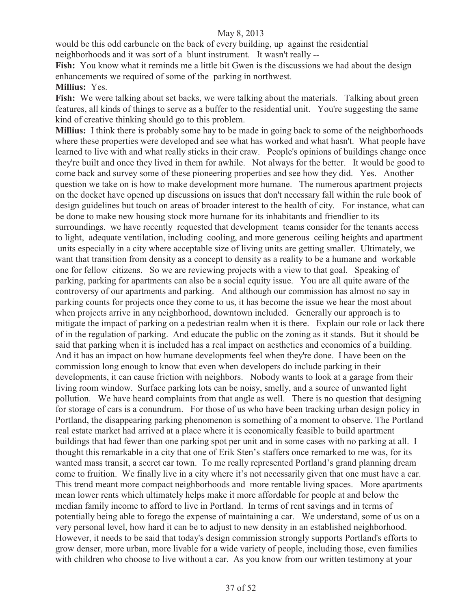would be this odd carbuncle on the back of every building, up against the residential neighborhoods and it was sort of a blunt instrument. It wasn't really --

Fish: You know what it reminds me a little bit Gwen is the discussions we had about the design enhancements we required of some of the parking in northwest.

#### **Millius:** Yes.

Fish: We were talking about set backs, we were talking about the materials. Talking about green features, all kinds of things to serve as a buffer to the residential unit. You're suggesting the same kind of creative thinking should go to this problem.

**Millius:** I think there is probably some hay to be made in going back to some of the neighborhoods where these properties were developed and see what has worked and what hasn't. What people have learned to live with and what really sticks in their craw. People's opinions of buildings change once they're built and once they lived in them for awhile. Not always for the better. It would be good to come back and survey some of these pioneering properties and see how they did. Yes. Another question we take on is how to make development more humane. The numerous apartment projects on the docket have opened up discussions on issues that don't necessary fall within the rule book of design guidelines but touch on areas of broader interest to the health of city. For instance, what can be done to make new housing stock more humane for its inhabitants and friendlier to its surroundings. we have recently requested that development teams consider for the tenants access to light, adequate ventilation, including cooling, and more generous ceiling heights and apartment units especially in a city where acceptable size of living units are getting smaller. Ultimately, we want that transition from density as a concept to density as a reality to be a humane and workable one for fellow citizens. So we are reviewing projects with a view to that goal. Speaking of parking, parking for apartments can also be a social equity issue. You are all quite aware of the controversy of our apartments and parking. And although our commission has almost no say in parking counts for projects once they come to us, it has become the issue we hear the most about when projects arrive in any neighborhood, downtown included. Generally our approach is to mitigate the impact of parking on a pedestrian realm when it is there. Explain our role or lack there of in the regulation of parking. And educate the public on the zoning as it stands. But it should be said that parking when it is included has a real impact on aesthetics and economics of a building. And it has an impact on how humane developments feel when they're done. I have been on the commission long enough to know that even when developers do include parking in their developments, it can cause friction with neighbors. Nobody wants to look at a garage from their living room window. Surface parking lots can be noisy, smelly, and a source of unwanted light pollution. We have heard complaints from that angle as well. There is no question that designing for storage of cars is a conundrum. For those of us who have been tracking urban design policy in Portland, the disappearing parking phenomenon is something of a moment to observe. The Portland real estate market had arrived at a place where it is economically feasible to build apartment buildings that had fewer than one parking spot per unit and in some cases with no parking at all. I thought this remarkable in a city that one of Erik Sten's staffers once remarked to me was, for its wanted mass transit, a secret car town. To me really represented Portland's grand planning dream come to fruition. We finally live in a city where it's not necessarily given that one must have a car. This trend meant more compact neighborhoods and more rentable living spaces. More apartments mean lower rents which ultimately helps make it more affordable for people at and below the median family income to afford to live in Portland. In terms of rent savings and in terms of potentially being able to forego the expense of maintaining a car. We understand, some of us on a very personal level, how hard it can be to adjust to new density in an established neighborhood. However, it needs to be said that today's design commission strongly supports Portland's efforts to grow denser, more urban, more livable for a wide variety of people, including those, even families with children who choose to live without a car. As you know from our written testimony at your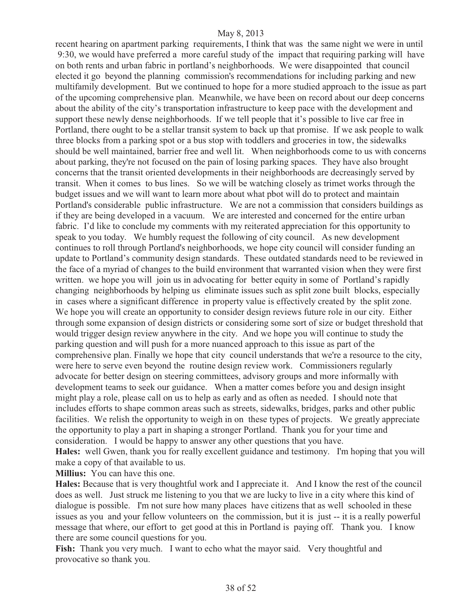recent hearing on apartment parking requirements, I think that was the same night we were in until 9:30, we would have preferred a more careful study of the impact that requiring parking will have on both rents and urban fabric in portland's neighborhoods. We were disappointed that council elected it go beyond the planning commission's recommendations for including parking and new multifamily development. But we continued to hope for a more studied approach to the issue as part of the upcoming comprehensive plan. Meanwhile, we have been on record about our deep concerns about the ability of the city's transportation infrastructure to keep pace with the development and support these newly dense neighborhoods. If we tell people that it's possible to live car free in Portland, there ought to be a stellar transit system to back up that promise. If we ask people to walk three blocks from a parking spot or a bus stop with toddlers and groceries in tow, the sidewalks should be well maintained, barrier free and well lit. When neighborhoods come to us with concerns about parking, they're not focused on the pain of losing parking spaces. They have also brought concerns that the transit oriented developments in their neighborhoods are decreasingly served by transit. When it comes to bus lines. So we will be watching closely as trimet works through the budget issues and we will want to learn more about what pbot will do to protect and maintain Portland's considerable public infrastructure. We are not a commission that considers buildings as if they are being developed in a vacuum. We are interested and concerned for the entire urban fabric. I'd like to conclude my comments with my reiterated appreciation for this opportunity to speak to you today. We humbly request the following of city council. As new development continues to roll through Portland's neighborhoods, we hope city council will consider funding an update to Portland's community design standards. These outdated standards need to be reviewed in the face of a myriad of changes to the build environment that warranted vision when they were first written. we hope you will join us in advocating for better equity in some of Portland's rapidly changing neighborhoods by helping us eliminate issues such as split zone built blocks, especially in cases where a significant difference in property value is effectively created by the split zone. We hope you will create an opportunity to consider design reviews future role in our city. Either through some expansion of design districts or considering some sort of size or budget threshold that would trigger design review anywhere in the city. And we hope you will continue to study the parking question and will push for a more nuanced approach to this issue as part of the comprehensive plan. Finally we hope that city council understands that we're a resource to the city, were here to serve even beyond the routine design review work. Commissioners regularly advocate for better design on steering committees, advisory groups and more informally with development teams to seek our guidance. When a matter comes before you and design insight might play a role, please call on us to help as early and as often as needed. I should note that includes efforts to shape common areas such as streets, sidewalks, bridges, parks and other public facilities. We relish the opportunity to weigh in on these types of projects. We greatly appreciate the opportunity to play a part in shaping a stronger Portland. Thank you for your time and consideration. I would be happy to answer any other questions that you have.

**Hales:** well Gwen, thank you for really excellent guidance and testimony. I'm hoping that you will make a copy of that available to us.

**Millius:** You can have this one.

**Hales:** Because that is very thoughtful work and I appreciate it. And I know the rest of the council does as well. Just struck me listening to you that we are lucky to live in a city where this kind of dialogue is possible. I'm not sure how many places have citizens that as well schooled in these issues as you and your fellow volunteers on the commission, but it is just -- it is a really powerful message that where, our effort to get good at this in Portland is paying off. Thank you. I know there are some council questions for you.

**Fish:** Thank you very much. I want to echo what the mayor said. Very thoughtful and provocative so thank you.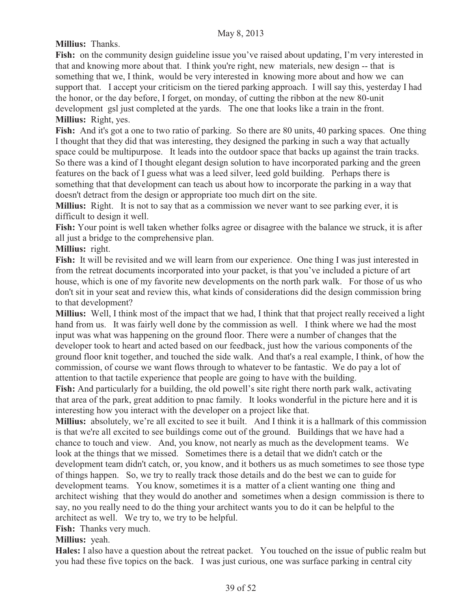**Millius:** Thanks.

Fish: on the community design guideline issue you've raised about updating, I'm very interested in that and knowing more about that. I think you're right, new materials, new design -- that is something that we, I think, would be very interested in knowing more about and how we can support that. I accept your criticism on the tiered parking approach. I will say this, yesterday I had the honor, or the day before, I forget, on monday, of cutting the ribbon at the new 80-unit development gsl just completed at the yards. The one that looks like a train in the front. **Millius:** Right, yes.

Fish: And it's got a one to two ratio of parking. So there are 80 units, 40 parking spaces. One thing I thought that they did that was interesting, they designed the parking in such a way that actually space could be multipurpose. It leads into the outdoor space that backs up against the train tracks. So there was a kind of I thought elegant design solution to have incorporated parking and the green features on the back of I guess what was a leed silver, leed gold building. Perhaps there is something that that development can teach us about how to incorporate the parking in a way that doesn't detract from the design or appropriate too much dirt on the site.

**Millius:** Right. It is not to say that as a commission we never want to see parking ever, it is difficult to design it well.

**Fish:** Your point is well taken whether folks agree or disagree with the balance we struck, it is after all just a bridge to the comprehensive plan.

**Millius:** right.

**Fish:** It will be revisited and we will learn from our experience. One thing I was just interested in from the retreat documents incorporated into your packet, is that you've included a picture of art house, which is one of my favorite new developments on the north park walk. For those of us who don't sit in your seat and review this, what kinds of considerations did the design commission bring to that development?

**Millius:** Well, I think most of the impact that we had, I think that that project really received a light hand from us. It was fairly well done by the commission as well. I think where we had the most input was what was happening on the ground floor. There were a number of changes that the developer took to heart and acted based on our feedback, just how the various components of the ground floor knit together, and touched the side walk. And that's a real example, I think, of how the commission, of course we want flows through to whatever to be fantastic. We do pay a lot of attention to that tactile experience that people are going to have with the building.

**Fish:** And particularly for a building, the old powell's site right there north park walk, activating that area of the park, great addition to pnac family. It looks wonderful in the picture here and it is interesting how you interact with the developer on a project like that.

**Millius:** absolutely, we're all excited to see it built. And I think it is a hallmark of this commission is that we're all excited to see buildings come out of the ground. Buildings that we have had a chance to touch and view. And, you know, not nearly as much as the development teams. We look at the things that we missed. Sometimes there is a detail that we didn't catch or the development team didn't catch, or, you know, and it bothers us as much sometimes to see those type of things happen. So, we try to really track those details and do the best we can to guide for development teams. You know, sometimes it is a matter of a client wanting one thing and architect wishing that they would do another and sometimes when a design commission is there to say, no you really need to do the thing your architect wants you to do it can be helpful to the architect as well. We try to, we try to be helpful.

Fish: Thanks very much.

**Millius:** yeah.

**Hales:** I also have a question about the retreat packet. You touched on the issue of public realm but you had these five topics on the back. I was just curious, one was surface parking in central city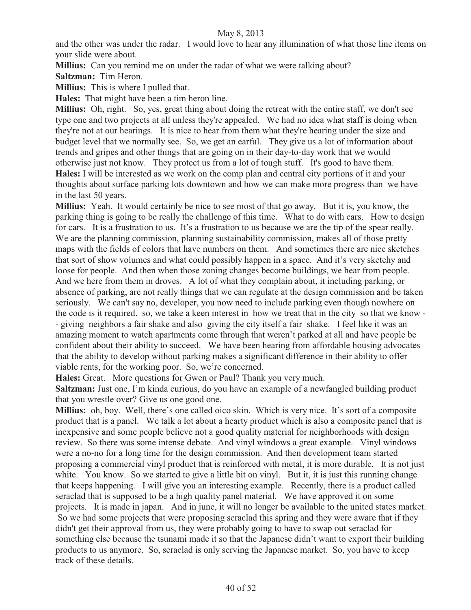and the other was under the radar. I would love to hear any illumination of what those line items on your slide were about.

**Millius:** Can you remind me on under the radar of what we were talking about?

**Saltzman:** Tim Heron.

**Millius:** This is where I pulled that.

**Hales:** That might have been a tim heron line.

**Millius:** Oh, right. So, yes, great thing about doing the retreat with the entire staff, we don't see type one and two projects at all unless they're appealed. We had no idea what staff is doing when they're not at our hearings. It is nice to hear from them what they're hearing under the size and budget level that we normally see. So, we get an earful. They give us a lot of information about trends and gripes and other things that are going on in their day-to-day work that we would otherwise just not know. They protect us from a lot of tough stuff. It's good to have them. **Hales:** I will be interested as we work on the comp plan and central city portions of it and your thoughts about surface parking lots downtown and how we can make more progress than we have in the last 50 years.

**Millius:** Yeah. It would certainly be nice to see most of that go away. But it is, you know, the parking thing is going to be really the challenge of this time. What to do with cars. How to design for cars. It is a frustration to us. It's a frustration to us because we are the tip of the spear really. We are the planning commission, planning sustainability commission, makes all of those pretty maps with the fields of colors that have numbers on them. And sometimes there are nice sketches that sort of show volumes and what could possibly happen in a space. And it's very sketchy and loose for people. And then when those zoning changes become buildings, we hear from people. And we here from them in droves. A lot of what they complain about, it including parking, or absence of parking, are not really things that we can regulate at the design commission and be taken seriously. We can't say no, developer, you now need to include parking even though nowhere on the code is it required. so, we take a keen interest in how we treat that in the city so that we know - - giving neighbors a fair shake and also giving the city itself a fair shake. I feel like it was an amazing moment to watch apartments come through that weren't parked at all and have people be confident about their ability to succeed. We have been hearing from affordable housing advocates that the ability to develop without parking makes a significant difference in their ability to offer viable rents, for the working poor. So, we're concerned.

**Hales:** Great. More questions for Gwen or Paul? Thank you very much.

**Saltzman:** Just one, I'm kinda curious, do you have an example of a newfangled building product that you wrestle over? Give us one good one.

**Millius:** oh, boy. Well, there's one called oico skin. Which is very nice. It's sort of a composite product that is a panel. We talk a lot about a hearty product which is also a composite panel that is inexpensive and some people believe not a good quality material for neighborhoods with design review. So there was some intense debate. And vinyl windows a great example. Vinyl windows were a no-no for a long time for the design commission. And then development team started proposing a commercial vinyl product that is reinforced with metal, it is more durable. It is not just white. You know. So we started to give a little bit on vinyl. But it, it is just this running change that keeps happening. I will give you an interesting example. Recently, there is a product called seraclad that is supposed to be a high quality panel material. We have approved it on some projects. It is made in japan. And in june, it will no longer be available to the united states market. So we had some projects that were proposing seraclad this spring and they were aware that if they didn't get their approval from us, they were probably going to have to swap out seraclad for something else because the tsunami made it so that the Japanese didn't want to export their building products to us anymore. So, seraclad is only serving the Japanese market. So, you have to keep track of these details.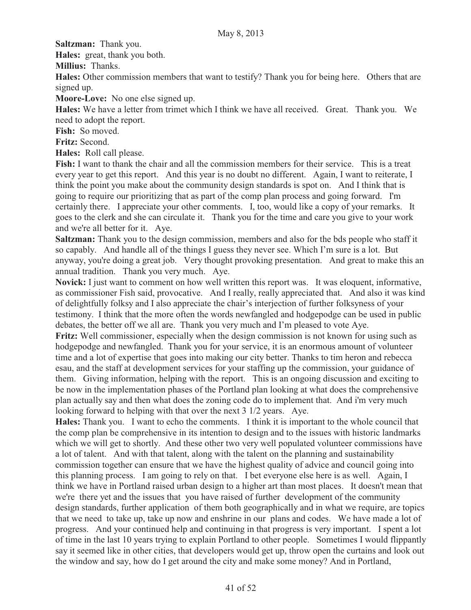**Saltzman:** Thank you.

**Hales:** great, thank you both.

**Millius:** Thanks.

**Hales:** Other commission members that want to testify? Thank you for being here. Others that are signed up.

**Moore-Love:** No one else signed up.

**Hales:** We have a letter from trimet which I think we have all received. Great. Thank you. We need to adopt the report.

**Fish:** So moved.

**Fritz:** Second.

**Hales:** Roll call please.

**Fish:** I want to thank the chair and all the commission members for their service. This is a treat every year to get this report. And this year is no doubt no different. Again, I want to reiterate, I think the point you make about the community design standards is spot on. And I think that is going to require our prioritizing that as part of the comp plan process and going forward. I'm certainly there. I appreciate your other comments. I, too, would like a copy of your remarks. It goes to the clerk and she can circulate it. Thank you for the time and care you give to your work and we're all better for it. Aye.

**Saltzman:** Thank you to the design commission, members and also for the bds people who staff it so capably. And handle all of the things I guess they never see. Which I'm sure is a lot. But anyway, you're doing a great job. Very thought provoking presentation. And great to make this an annual tradition. Thank you very much. Aye.

**Novick:** I just want to comment on how well written this report was. It was eloquent, informative, as commissioner Fish said, provocative. And I really, really appreciated that. And also it was kind of delightfully folksy and I also appreciate the chair's interjection of further folksyness of your testimony. I think that the more often the words newfangled and hodgepodge can be used in public debates, the better off we all are. Thank you very much and I'm pleased to vote Aye.

**Fritz:** Well commissioner, especially when the design commission is not known for using such as hodgepodge and newfangled. Thank you for your service, it is an enormous amount of volunteer time and a lot of expertise that goes into making our city better. Thanks to tim heron and rebecca esau, and the staff at development services for your staffing up the commission, your guidance of them. Giving information, helping with the report. This is an ongoing discussion and exciting to be now in the implementation phases of the Portland plan looking at what does the comprehensive plan actually say and then what does the zoning code do to implement that. And i'm very much looking forward to helping with that over the next 3 1/2 years. Aye.

**Hales:** Thank you. I want to echo the comments. I think it is important to the whole council that the comp plan be comprehensive in its intention to design and to the issues with historic landmarks which we will get to shortly. And these other two very well populated volunteer commissions have a lot of talent. And with that talent, along with the talent on the planning and sustainability commission together can ensure that we have the highest quality of advice and council going into this planning process. I am going to rely on that. I bet everyone else here is as well. Again, I think we have in Portland raised urban design to a higher art than most places. It doesn't mean that we're there yet and the issues that you have raised of further development of the community design standards, further application of them both geographically and in what we require, are topics that we need to take up, take up now and enshrine in our plans and codes. We have made a lot of progress. And your continued help and continuing in that progress is very important. I spent a lot of time in the last 10 years trying to explain Portland to other people. Sometimes I would flippantly say it seemed like in other cities, that developers would get up, throw open the curtains and look out the window and say, how do I get around the city and make some money? And in Portland,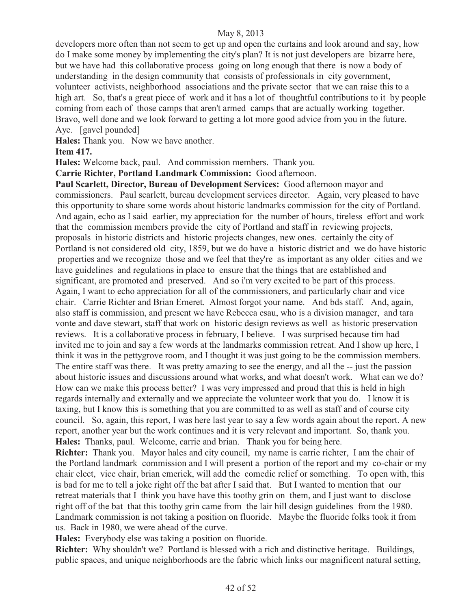developers more often than not seem to get up and open the curtains and look around and say, how do I make some money by implementing the city's plan? It is not just developers are bizarre here, but we have had this collaborative process going on long enough that there is now a body of understanding in the design community that consists of professionals in city government, volunteer activists, neighborhood associations and the private sector that we can raise this to a high art. So, that's a great piece of work and it has a lot of thoughtful contributions to it by people coming from each of those camps that aren't armed camps that are actually working together. Bravo, well done and we look forward to getting a lot more good advice from you in the future. Aye. [gavel pounded]

**Hales:** Thank you. Now we have another.

#### **Item 417.**

**Hales:** Welcome back, paul. And commission members. Thank you.

**Carrie Richter, Portland Landmark Commission:** Good afternoon.

**Paul Scarlett, Director, Bureau of Development Services:** Good afternoon mayor and commissioners. Paul scarlett, bureau development services director. Again, very pleased to have this opportunity to share some words about historic landmarks commission for the city of Portland. And again, echo as I said earlier, my appreciation for the number of hours, tireless effort and work that the commission members provide the city of Portland and staff in reviewing projects, proposals in historic districts and historic projects changes, new ones. certainly the city of Portland is not considered old city, 1859, but we do have a historic district and we do have historic properties and we recognize those and we feel that they're as important as any older cities and we have guidelines and regulations in place to ensure that the things that are established and significant, are promoted and preserved. And so i'm very excited to be part of this process. Again, I want to echo appreciation for all of the commissioners, and particularly chair and vice chair. Carrie Richter and Brian Emeret. Almost forgot your name. And bds staff. And, again, also staff is commission, and present we have Rebecca esau, who is a division manager, and tara vonte and dave stewart, staff that work on historic design reviews as well as historic preservation reviews. It is a collaborative process in february, I believe. I was surprised because tim had invited me to join and say a few words at the landmarks commission retreat. And I show up here, I think it was in the pettygrove room, and I thought it was just going to be the commission members. The entire staff was there. It was pretty amazing to see the energy, and all the -- just the passion about historic issues and discussions around what works, and what doesn't work. What can we do? How can we make this process better? I was very impressed and proud that this is held in high regards internally and externally and we appreciate the volunteer work that you do. I know it is taxing, but I know this is something that you are committed to as well as staff and of course city council. So, again, this report, I was here last year to say a few words again about the report. A new report, another year but the work continues and it is very relevant and important. So, thank you. **Hales:** Thanks, paul. Welcome, carrie and brian. Thank you for being here.

**Richter:** Thank you. Mayor hales and city council, my name is carrie richter, I am the chair of the Portland landmark commission and I will present a portion of the report and my co-chair or my chair elect, vice chair, brian emerick, will add the comedic relief or something. To open with, this is bad for me to tell a joke right off the bat after I said that. But I wanted to mention that our retreat materials that I think you have have this toothy grin on them, and I just want to disclose right off of the bat that this toothy grin came from the lair hill design guidelines from the 1980. Landmark commission is not taking a position on fluoride. Maybe the fluoride folks took it from us. Back in 1980, we were ahead of the curve.

**Hales:** Everybody else was taking a position on fluoride.

**Richter:** Why shouldn't we?Portland is blessed with a rich and distinctive heritage. Buildings, public spaces, and unique neighborhoods are the fabric which links our magnificent natural setting,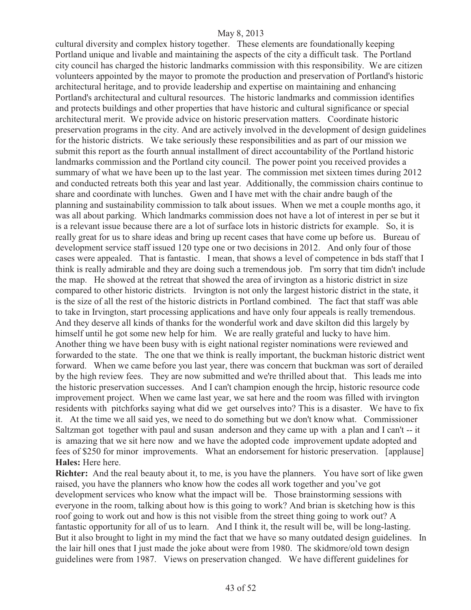cultural diversity and complex history together. These elements are foundationally keeping Portland unique and livable and maintaining the aspects of the city a difficult task. The Portland city council has charged the historic landmarks commission with this responsibility. We are citizen volunteers appointed by the mayor to promote the production and preservation of Portland's historic architectural heritage, and to provide leadership and expertise on maintaining and enhancing Portland's architectural and cultural resources. The historic landmarks and commission identifies and protects buildings and other properties that have historic and cultural significance or special architectural merit. We provide advice on historic preservation matters. Coordinate historic preservation programs in the city. And are actively involved in the development of design guidelines for the historic districts. We take seriously these responsibilities and as part of our mission we submit this report as the fourth annual installment of direct accountability of the Portland historic landmarks commission and the Portland city council. The power point you received provides a summary of what we have been up to the last year. The commission met sixteen times during 2012 and conducted retreats both this year and last year. Additionally, the commission chairs continue to share and coordinate with lunches. Gwen and I have met with the chair andre baugh of the planning and sustainability commission to talk about issues. When we met a couple months ago, it was all about parking. Which landmarks commission does not have a lot of interest in per se but it is a relevant issue because there are a lot of surface lots in historic districts for example. So, it is really great for us to share ideas and bring up recent cases that have come up before us. Bureau of development service staff issued 120 type one or two decisions in 2012. And only four of those cases were appealed. That is fantastic. I mean, that shows a level of competence in bds staff that I think is really admirable and they are doing such a tremendous job. I'm sorry that tim didn't include the map. He showed at the retreat that showed the area of irvington as a historic district in size compared to other historic districts. Irvington is not only the largest historic district in the state, it is the size of all the rest of the historic districts in Portland combined. The fact that staff was able to take in Irvington, start processing applications and have only four appeals is really tremendous. And they deserve all kinds of thanks for the wonderful work and dave skilton did this largely by himself until he got some new help for him. We are really grateful and lucky to have him. Another thing we have been busy with is eight national register nominations were reviewed and forwarded to the state. The one that we think is really important, the buckman historic district went forward. When we came before you last year, there was concern that buckman was sort of derailed by the high review fees. They are now submitted and we're thrilled about that. This leads me into the historic preservation successes. And I can't champion enough the hrcip, historic resource code improvement project. When we came last year, we sat here and the room was filled with irvington residents with pitchforks saying what did we get ourselves into? This is a disaster. We have to fix it. At the time we all said yes, we need to do something but we don't know what. Commissioner Saltzman got together with paul and susan anderson and they came up with a plan and I can't -- it is amazing that we sit here now and we have the adopted code improvement update adopted and fees of \$250 for minor improvements. What an endorsement for historic preservation. [applause] **Hales:** Here here.

**Richter:** And the real beauty about it, to me, is you have the planners. You have sort of like gwen raised, you have the planners who know how the codes all work together and you've got development services who know what the impact will be. Those brainstorming sessions with everyone in the room, talking about how is this going to work? And brian is sketching how is this roof going to work out and how is this not visible from the street thing going to work out? A fantastic opportunity for all of us to learn. And I think it, the result will be, will be long-lasting. But it also brought to light in my mind the fact that we have so many outdated design guidelines. In the lair hill ones that I just made the joke about were from 1980. The skidmore/old town design guidelines were from 1987. Views on preservation changed. We have different guidelines for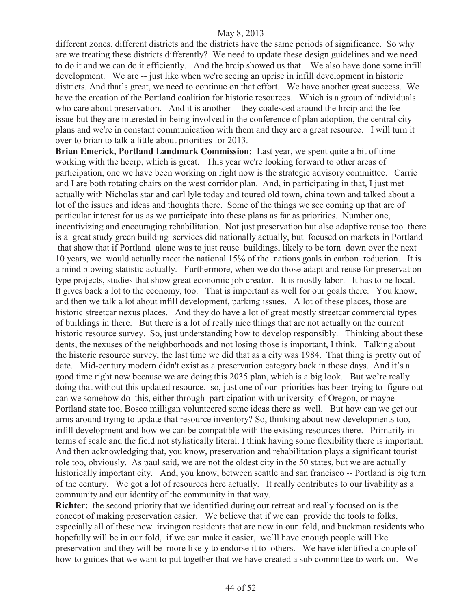different zones, different districts and the districts have the same periods of significance. So why are we treating these districts differently? We need to update these design guidelines and we need to do it and we can do it efficiently. And the hrcip showed us that. We also have done some infill development. We are -- just like when we're seeing an uprise in infill development in historic districts. And that's great, we need to continue on that effort. We have another great success. We have the creation of the Portland coalition for historic resources. Which is a group of individuals who care about preservation. And it is another -- they coalesced around the hrcip and the fee issue but they are interested in being involved in the conference of plan adoption, the central city plans and we're in constant communication with them and they are a great resource. I will turn it over to brian to talk a little about priorities for 2013.

**Brian Emerick, Portland Landmark Commission:** Last year, we spent quite a bit of time working with the hccrp, which is great. This year we're looking forward to other areas of participation, one we have been working on right now is the strategic advisory committee. Carrie and I are both rotating chairs on the west corridor plan. And, in participating in that, I just met actually with Nicholas star and carl lyle today and toured old town, china town and talked about a lot of the issues and ideas and thoughts there. Some of the things we see coming up that are of particular interest for us as we participate into these plans as far as priorities. Number one, incentivizing and encouraging rehabilitation. Not just preservation but also adaptive reuse too. there is a great study green building services did nationally actually, but focused on markets in Portland that show that if Portland alone was to just reuse buildings, likely to be torn down over the next 10 years, we would actually meet the national 15% of the nations goals in carbon reduction. It is a mind blowing statistic actually. Furthermore, when we do those adapt and reuse for preservation type projects, studies that show great economic job creator. It is mostly labor. It has to be local. It gives back a lot to the economy, too. That is important as well for our goals there. You know, and then we talk a lot about infill development, parking issues. A lot of these places, those are historic streetcar nexus places. And they do have a lot of great mostly streetcar commercial types of buildings in there. But there is a lot of really nice things that are not actually on the current historic resource survey. So, just understanding how to develop responsibly. Thinking about these dents, the nexuses of the neighborhoods and not losing those is important, I think. Talking about the historic resource survey, the last time we did that as a city was 1984. That thing is pretty out of date. Mid-century modern didn't exist as a preservation category back in those days. And it's a good time right now because we are doing this 2035 plan, which is a big look. But we're really doing that without this updated resource. so, just one of our priorities has been trying to figure out can we somehow do this, either through participation with university of Oregon, or maybe Portland state too, Bosco milligan volunteered some ideas there as well. But how can we get our arms around trying to update that resource inventory? So, thinking about new developments too, infill development and how we can be compatible with the existing resources there. Primarily in terms of scale and the field not stylistically literal. I think having some flexibility there is important. And then acknowledging that, you know, preservation and rehabilitation plays a significant tourist role too, obviously. As paul said, we are not the oldest city in the 50 states, but we are actually historically important city. And, you know, between seattle and san francisco -- Portland is big turn of the century. We got a lot of resources here actually. It really contributes to our livability as a community and our identity of the community in that way.

**Richter:** the second priority that we identified during our retreat and really focused on is the concept of making preservation easier. We believe that if we can provide the tools to folks, especially all of these new irvington residents that are now in our fold, and buckman residents who hopefully will be in our fold, if we can make it easier, we'll have enough people will like preservation and they will be more likely to endorse it to others. We have identified a couple of how-to guides that we want to put together that we have created a sub committee to work on. We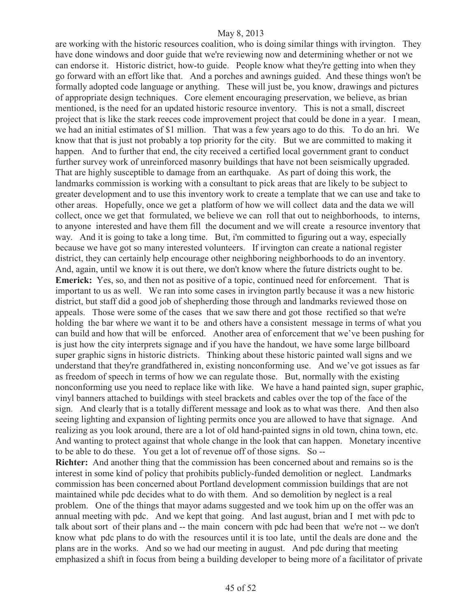are working with the historic resources coalition, who is doing similar things with irvington. They have done windows and door guide that we're reviewing now and determining whether or not we can endorse it. Historic district, how-to guide. People know what they're getting into when they go forward with an effort like that. And a porches and awnings guided. And these things won't be formally adopted code language or anything. These will just be, you know, drawings and pictures of appropriate design techniques. Core element encouraging preservation, we believe, as brian mentioned, is the need for an updated historic resource inventory. This is not a small, discreet project that is like the stark reeces code improvement project that could be done in a year. I mean, we had an initial estimates of \$1 million. That was a few years ago to do this. To do an hri. We know that that is just not probably a top priority for the city. But we are committed to making it happen. And to further that end, the city received a certified local government grant to conduct further survey work of unreinforced masonry buildings that have not been seismically upgraded. That are highly susceptible to damage from an earthquake. As part of doing this work, the landmarks commission is working with a consultant to pick areas that are likely to be subject to greater development and to use this inventory work to create a template that we can use and take to other areas. Hopefully, once we get a platform of how we will collect data and the data we will collect, once we get that formulated, we believe we can roll that out to neighborhoods, to interns, to anyone interested and have them fill the document and we will create a resource inventory that way. And it is going to take a long time. But, i'm committed to figuring out a way, especially because we have got so many interested volunteers. If irvington can create a national register district, they can certainly help encourage other neighboring neighborhoods to do an inventory. And, again, until we know it is out there, we don't know where the future districts ought to be. **Emerick:** Yes, so, and then not as positive of a topic, continued need for enforcement. That is important to us as well. We ran into some cases in irvington partly because it was a new historic district, but staff did a good job of shepherding those through and landmarks reviewed those on appeals. Those were some of the cases that we saw there and got those rectified so that we're holding the bar where we want it to be and others have a consistent message in terms of what you can build and how that will be enforced. Another area of enforcement that we've been pushing for is just how the city interprets signage and if you have the handout, we have some large billboard super graphic signs in historic districts. Thinking about these historic painted wall signs and we understand that they're grandfathered in, existing nonconforming use. And we've got issues as far as freedom of speech in terms of how we can regulate those. But, normally with the existing nonconforming use you need to replace like with like. We have a hand painted sign, super graphic, vinyl banners attached to buildings with steel brackets and cables over the top of the face of the sign. And clearly that is a totally different message and look as to what was there. And then also seeing lighting and expansion of lighting permits once you are allowed to have that signage. And realizing as you look around, there are a lot of old hand-painted signs in old town, china town, etc. And wanting to protect against that whole change in the look that can happen. Monetary incentive to be able to do these. You get a lot of revenue off of those signs. So --

**Richter:** And another thing that the commission has been concerned about and remains so is the interest in some kind of policy that prohibits publicly-funded demolition or neglect. Landmarks commission has been concerned about Portland development commission buildings that are not maintained while pdc decides what to do with them. And so demolition by neglect is a real problem. One of the things that mayor adams suggested and we took him up on the offer was an annual meeting with pdc. And we kept that going. And last august, brian and I met with pdc to talk about sort of their plans and -- the main concern with pdc had been that we're not -- we don't know what pdc plans to do with the resources until it is too late, until the deals are done and the plans are in the works. And so we had our meeting in august. And pdc during that meeting emphasized a shift in focus from being a building developer to being more of a facilitator of private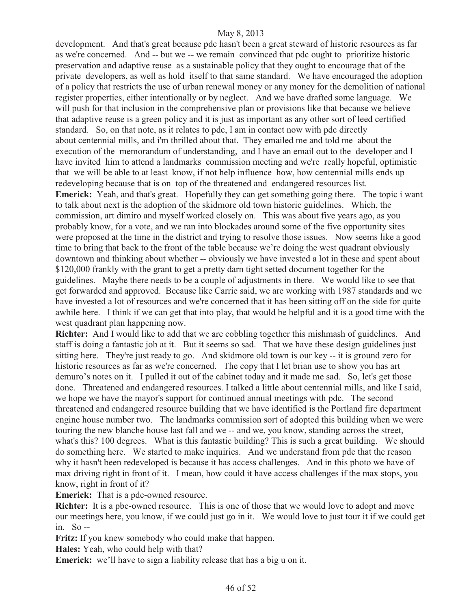development. And that's great because pdc hasn't been a great steward of historic resources as far as we're concerned. And -- but we -- we remain convinced that pdc ought to prioritize historic preservation and adaptive reuse as a sustainable policy that they ought to encourage that of the private developers, as well as hold itself to that same standard. We have encouraged the adoption of a policy that restricts the use of urban renewal money or any money for the demolition of national register properties, either intentionally or by neglect. And we have drafted some language. We will push for that inclusion in the comprehensive plan or provisions like that because we believe that adaptive reuse is a green policy and it is just as important as any other sort of leed certified standard. So, on that note, as it relates to pdc, I am in contact now with pdc directly about centennial mills, and i'm thrilled about that. They emailed me and told me about the execution of the memorandum of understanding, and I have an email out to the developer and I have invited him to attend a landmarks commission meeting and we're really hopeful, optimistic that we will be able to at least know, if not help influence how, how centennial mills ends up redeveloping because that is on top of the threatened and endangered resources list. **Emerick:** Yeah, and that's great. Hopefully they can get something going there. The topic i want to talk about next is the adoption of the skidmore old town historic guidelines. Which, the commission, art dimiro and myself worked closely on. This was about five years ago, as you probably know, for a vote, and we ran into blockades around some of the five opportunity sites were proposed at the time in the district and trying to resolve those issues. Now seems like a good time to bring that back to the front of the table because we're doing the west quadrant obviously downtown and thinking about whether -- obviously we have invested a lot in these and spent about \$120,000 frankly with the grant to get a pretty darn tight setted document together for the guidelines. Maybe there needs to be a couple of adjustments in there. We would like to see that get forwarded and approved. Because like Carrie said, we are working with 1987 standards and we have invested a lot of resources and we're concerned that it has been sitting off on the side for quite awhile here. I think if we can get that into play, that would be helpful and it is a good time with the west quadrant plan happening now.

**Richter:** And I would like to add that we are cobbling together this mishmash of guidelines. And staff is doing a fantastic job at it. But it seems so sad. That we have these design guidelines just sitting here. They're just ready to go. And skidmore old town is our key -- it is ground zero for historic resources as far as we're concerned. The copy that I let brian use to show you has art demuro's notes on it. I pulled it out of the cabinet today and it made me sad. So, let's get those done. Threatened and endangered resources. I talked a little about centennial mills, and like I said, we hope we have the mayor's support for continued annual meetings with pdc. The second threatened and endangered resource building that we have identified is the Portland fire department engine house number two. The landmarks commission sort of adopted this building when we were touring the new blanche house last fall and we -- and we, you know, standing across the street, what's this? 100 degrees. What is this fantastic building? This is such a great building. We should do something here. We started to make inquiries. And we understand from pdc that the reason why it hasn't been redeveloped is because it has access challenges. And in this photo we have of max driving right in front of it. I mean, how could it have access challenges if the max stops, you know, right in front of it?

**Emerick:** That is a pdc-owned resource.

**Richter:** It is a pbc-owned resource. This is one of those that we would love to adopt and move our meetings here, you know, if we could just go in it. We would love to just tour it if we could get in. So --

**Fritz:** If you knew somebody who could make that happen.

**Hales:** Yeah, who could help with that?

**Emerick:** we'll have to sign a liability release that has a big u on it.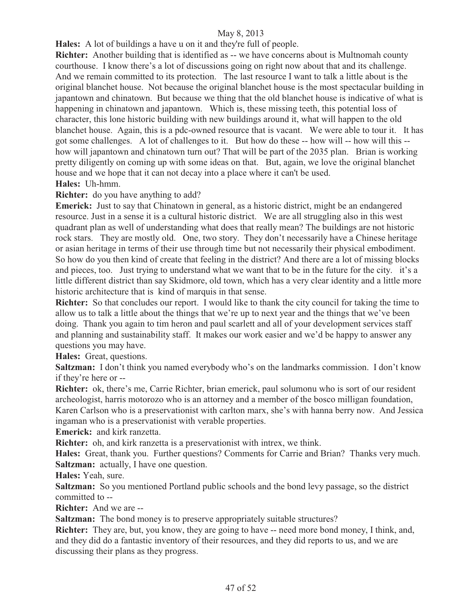**Hales:** A lot of buildings a have u on it and they're full of people.

**Richter:** Another building that is identified as -- we have concerns about is Multnomah county courthouse. I know there's a lot of discussions going on right now about that and its challenge. And we remain committed to its protection. The last resource I want to talk a little about is the original blanchet house. Not because the original blanchet house is the most spectacular building in japantown and chinatown. But because we thing that the old blanchet house is indicative of what is happening in chinatown and japantown. Which is, these missing teeth, this potential loss of character, this lone historic building with new buildings around it, what will happen to the old blanchet house. Again, this is a pdc-owned resource that is vacant. We were able to tour it. It has got some challenges. A lot of challenges to it. But how do these -- how will -- how will this - how will japantown and chinatown turn out? That will be part of the 2035 plan. Brian is working pretty diligently on coming up with some ideas on that. But, again, we love the original blanchet house and we hope that it can not decay into a place where it can't be used.

**Hales:** Uh-hmm.

**Richter:** do you have anything to add?

**Emerick:** Just to say that Chinatown in general, as a historic district, might be an endangered resource. Just in a sense it is a cultural historic district. We are all struggling also in this west quadrant plan as well of understanding what does that really mean? The buildings are not historic rock stars. They are mostly old. One, two story. They don't necessarily have a Chinese heritage or asian heritage in terms of their use through time but not necessarily their physical embodiment. So how do you then kind of create that feeling in the district? And there are a lot of missing blocks and pieces, too. Just trying to understand what we want that to be in the future for the city. it's a little different district than say Skidmore, old town, which has a very clear identity and a little more historic architecture that is kind of marquis in that sense.

**Richter:** So that concludes our report. I would like to thank the city council for taking the time to allow us to talk a little about the things that we're up to next year and the things that we've been doing. Thank you again to tim heron and paul scarlett and all of your development services staff and planning and sustainability staff. It makes our work easier and we'd be happy to answer any questions you may have.

**Hales:** Great, questions.

**Saltzman:** I don't think you named everybody who's on the landmarks commission. I don't know if they're here or --

**Richter:** ok, there's me, Carrie Richter, brian emerick, paul solumonu who is sort of our resident archeologist, harris motorozo who is an attorney and a member of the bosco milligan foundation, Karen Carlson who is a preservationist with carlton marx, she's with hanna berry now. And Jessica ingaman who is a preservationist with verable properties.

**Emerick:** and kirk ranzetta.

**Richter:** oh, and kirk ranzetta is a preservationist with intrex, we think.

**Hales:** Great, thank you. Further questions? Comments for Carrie and Brian? Thanks very much. **Saltzman:** actually, I have one question.

**Hales:** Yeah, sure.

**Saltzman:** So you mentioned Portland public schools and the bond levy passage, so the district committed to --

**Richter:** And we are --

**Saltzman:** The bond money is to preserve appropriately suitable structures?

**Richter:** They are, but, you know, they are going to have -- need more bond money, I think, and, and they did do a fantastic inventory of their resources, and they did reports to us, and we are discussing their plans as they progress.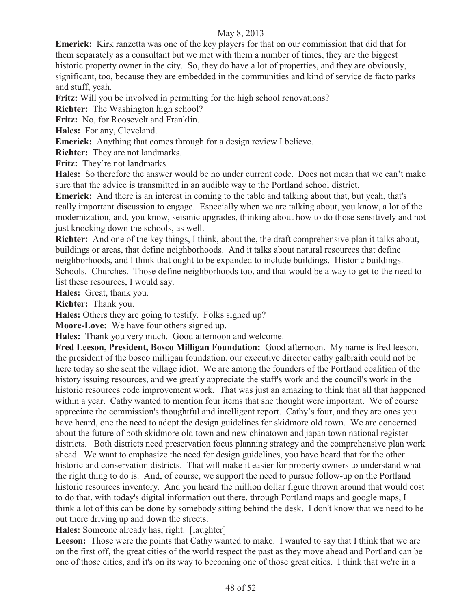**Emerick:** Kirk ranzetta was one of the key players for that on our commission that did that for them separately as a consultant but we met with them a number of times, they are the biggest historic property owner in the city. So, they do have a lot of properties, and they are obviously, significant, too, because they are embedded in the communities and kind of service de facto parks and stuff, yeah.

**Fritz:** Will you be involved in permitting for the high school renovations?

**Richter:** The Washington high school?

**Fritz:** No, for Roosevelt and Franklin.

**Hales:** For any, Cleveland.

**Emerick:** Anything that comes through for a design review I believe.

**Richter:** They are not landmarks.

Fritz: They're not landmarks.

**Hales:** So therefore the answer would be no under current code. Does not mean that we can't make sure that the advice is transmitted in an audible way to the Portland school district.

**Emerick:** And there is an interest in coming to the table and talking about that, but yeah, that's really important discussion to engage. Especially when we are talking about, you know, a lot of the modernization, and, you know, seismic upgrades, thinking about how to do those sensitively and not just knocking down the schools, as well.

**Richter:** And one of the key things, I think, about the, the draft comprehensive plan it talks about, buildings or areas, that define neighborhoods. And it talks about natural resources that define neighborhoods, and I think that ought to be expanded to include buildings. Historic buildings. Schools. Churches. Those define neighborhoods too, and that would be a way to get to the need to list these resources, I would say.

**Hales:** Great, thank you.

**Richter:** Thank you.

**Hales:** Others they are going to testify. Folks signed up?

**Moore-Love:** We have four others signed up.

**Hales:** Thank you very much. Good afternoon and welcome.

**Fred Leeson, President, Bosco Milligan Foundation:** Good afternoon. My name is fred leeson, the president of the bosco milligan foundation, our executive director cathy galbraith could not be here today so she sent the village idiot. We are among the founders of the Portland coalition of the history issuing resources, and we greatly appreciate the staff's work and the council's work in the historic resources code improvement work. That was just an amazing to think that all that happened within a year. Cathy wanted to mention four items that she thought were important. We of course appreciate the commission's thoughtful and intelligent report. Cathy's four, and they are ones you have heard, one the need to adopt the design guidelines for skidmore old town. We are concerned about the future of both skidmore old town and new chinatown and japan town national register districts. Both districts need preservation focus planning strategy and the comprehensive plan work ahead. We want to emphasize the need for design guidelines, you have heard that for the other historic and conservation districts. That will make it easier for property owners to understand what the right thing to do is. And, of course, we support the need to pursue follow-up on the Portland historic resources inventory. And you heard the million dollar figure thrown around that would cost to do that, with today's digital information out there, through Portland maps and google maps, I think a lot of this can be done by somebody sitting behind the desk. I don't know that we need to be out there driving up and down the streets.

**Hales:** Someone already has, right. [laughter]

Leeson: Those were the points that Cathy wanted to make. I wanted to say that I think that we are on the first off, the great cities of the world respect the past as they move ahead and Portland can be one of those cities, and it's on its way to becoming one of those great cities. I think that we're in a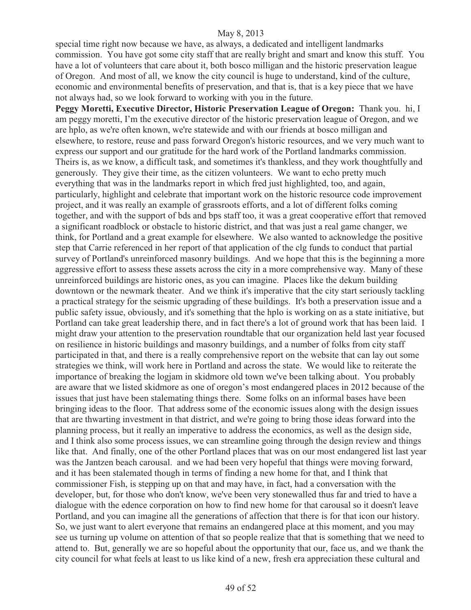special time right now because we have, as always, a dedicated and intelligent landmarks commission. You have got some city staff that are really bright and smart and know this stuff. You have a lot of volunteers that care about it, both bosco milligan and the historic preservation league of Oregon. And most of all, we know the city council is huge to understand, kind of the culture, economic and environmental benefits of preservation, and that is, that is a key piece that we have not always had, so we look forward to working with you in the future.

**Peggy Moretti, Executive Director, Historic Preservation League of Oregon:** Thank you. hi, I am peggy moretti, I'm the executive director of the historic preservation league of Oregon, and we are hplo, as we're often known, we're statewide and with our friends at bosco milligan and elsewhere, to restore, reuse and pass forward Oregon's historic resources, and we very much want to express our support and our gratitude for the hard work of the Portland landmarks commission. Theirs is, as we know, a difficult task, and sometimes it's thankless, and they work thoughtfully and generously. They give their time, as the citizen volunteers. We want to echo pretty much everything that was in the landmarks report in which fred just highlighted, too, and again, particularly, highlight and celebrate that important work on the historic resource code improvement project, and it was really an example of grassroots efforts, and a lot of different folks coming together, and with the support of bds and bps staff too, it was a great cooperative effort that removed a significant roadblock or obstacle to historic district, and that was just a real game changer, we think, for Portland and a great example for elsewhere. We also wanted to acknowledge the positive step that Carrie referenced in her report of that application of the clg funds to conduct that partial survey of Portland's unreinforced masonry buildings. And we hope that this is the beginning a more aggressive effort to assess these assets across the city in a more comprehensive way. Many of these unreinforced buildings are historic ones, as you can imagine. Places like the dekum building downtown or the newmark theater. And we think it's imperative that the city start seriously tackling a practical strategy for the seismic upgrading of these buildings. It's both a preservation issue and a public safety issue, obviously, and it's something that the hplo is working on as a state initiative, but Portland can take great leadership there, and in fact there's a lot of ground work that has been laid. I might draw your attention to the preservation roundtable that our organization held last year focused on resilience in historic buildings and masonry buildings, and a number of folks from city staff participated in that, and there is a really comprehensive report on the website that can lay out some strategies we think, will work here in Portland and across the state. We would like to reiterate the importance of breaking the logjam in skidmore old town we've been talking about. You probably are aware that we listed skidmore as one of oregon's most endangered places in 2012 because of the issues that just have been stalemating things there. Some folks on an informal bases have been bringing ideas to the floor. That address some of the economic issues along with the design issues that are thwarting investment in that district, and we're going to bring those ideas forward into the planning process, but it really an imperative to address the economics, as well as the design side, and I think also some process issues, we can streamline going through the design review and things like that. And finally, one of the other Portland places that was on our most endangered list last year was the Jantzen beach carousal. and we had been very hopeful that things were moving forward, and it has been stalemated though in terms of finding a new home for that, and I think that commissioner Fish, is stepping up on that and may have, in fact, had a conversation with the developer, but, for those who don't know, we've been very stonewalled thus far and tried to have a dialogue with the edence corporation on how to find new home for that carousal so it doesn't leave Portland, and you can imagine all the generations of affection that there is for that icon our history. So, we just want to alert everyone that remains an endangered place at this moment, and you may see us turning up volume on attention of that so people realize that that is something that we need to attend to. But, generally we are so hopeful about the opportunity that our, face us, and we thank the city council for what feels at least to us like kind of a new, fresh era appreciation these cultural and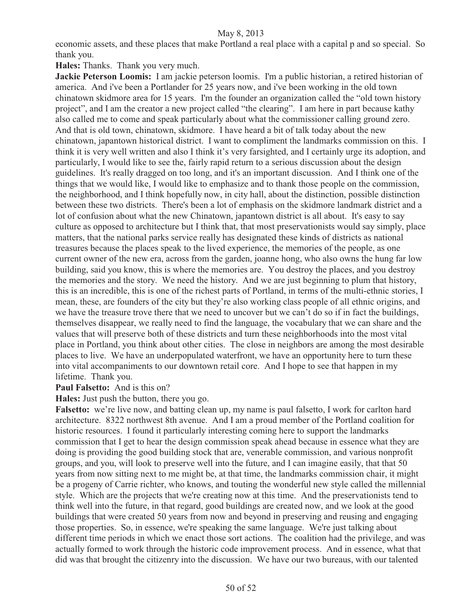economic assets, and these places that make Portland a real place with a capital p and so special. So thank you.

**Hales:** Thanks. Thank you very much.

**Jackie Peterson Loomis:** I am jackie peterson loomis. I'm a public historian, a retired historian of america. And i've been a Portlander for 25 years now, and i've been working in the old town chinatown skidmore area for 15 years. I'm the founder an organization called the "old town history project", and I am the creator a new project called "the clearing". I am here in part because kathy also called me to come and speak particularly about what the commissioner calling ground zero. And that is old town, chinatown, skidmore. I have heard a bit of talk today about the new chinatown, japantown historical district. I want to compliment the landmarks commission on this. I think it is very well written and also I think it's very farsighted, and I certainly urge its adoption, and particularly, I would like to see the, fairly rapid return to a serious discussion about the design guidelines. It's really dragged on too long, and it's an important discussion. And I think one of the things that we would like, I would like to emphasize and to thank those people on the commission, the neighborhood, and I think hopefully now, in city hall, about the distinction, possible distinction between these two districts. There's been a lot of emphasis on the skidmore landmark district and a lot of confusion about what the new Chinatown, japantown district is all about. It's easy to say culture as opposed to architecture but I think that, that most preservationists would say simply, place matters, that the national parks service really has designated these kinds of districts as national treasures because the places speak to the lived experience, the memories of the people, as one current owner of the new era, across from the garden, joanne hong, who also owns the hung far low building, said you know, this is where the memories are. You destroy the places, and you destroy the memories and the story. We need the history. And we are just beginning to plum that history, this is an incredible, this is one of the richest parts of Portland, in terms of the multi-ethnic stories, I mean, these, are founders of the city but they're also working class people of all ethnic origins, and we have the treasure trove there that we need to uncover but we can't do so if in fact the buildings, themselves disappear, we really need to find the language, the vocabulary that we can share and the values that will preserve both of these districts and turn these neighborhoods into the most vital place in Portland, you think about other cities. The close in neighbors are among the most desirable places to live. We have an underpopulated waterfront, we have an opportunity here to turn these into vital accompaniments to our downtown retail core. And I hope to see that happen in my lifetime. Thank you.

#### **Paul Falsetto:** And is this on?

**Hales:** Just push the button, there you go.

Falsetto: we're live now, and batting clean up, my name is paul falsetto, I work for carlton hard architecture. 8322 northwest 8th avenue. And I am a proud member of the Portland coalition for historic resources. I found it particularly interesting coming here to support the landmarks commission that I get to hear the design commission speak ahead because in essence what they are doing is providing the good building stock that are, venerable commission, and various nonprofit groups, and you, will look to preserve well into the future, and I can imagine easily, that that 50 years from now sitting next to me might be, at that time, the landmarks commission chair, it might be a progeny of Carrie richter, who knows, and touting the wonderful new style called the millennial style. Which are the projects that we're creating now at this time. And the preservationists tend to think well into the future, in that regard, good buildings are created now, and we look at the good buildings that were created 50 years from now and beyond in preserving and reusing and engaging those properties. So, in essence, we're speaking the same language. We're just talking about different time periods in which we enact those sort actions. The coalition had the privilege, and was actually formed to work through the historic code improvement process. And in essence, what that did was that brought the citizenry into the discussion. We have our two bureaus, with our talented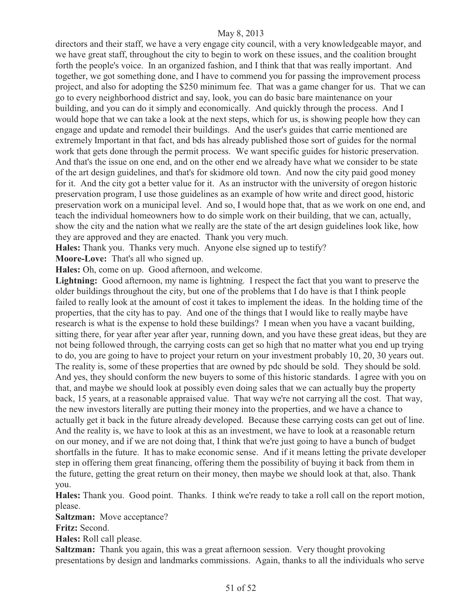directors and their staff, we have a very engage city council, with a very knowledgeable mayor, and we have great staff, throughout the city to begin to work on these issues, and the coalition brought forth the people's voice. In an organized fashion, and I think that that was really important. And together, we got something done, and I have to commend you for passing the improvement process project, and also for adopting the \$250 minimum fee. That was a game changer for us. That we can go to every neighborhood district and say, look, you can do basic bare maintenance on your building, and you can do it simply and economically. And quickly through the process. And I would hope that we can take a look at the next steps, which for us, is showing people how they can engage and update and remodel their buildings. And the user's guides that carrie mentioned are extremely Important in that fact, and bds has already published those sort of guides for the normal work that gets done through the permit process. We want specific guides for historic preservation. And that's the issue on one end, and on the other end we already have what we consider to be state of the art design guidelines, and that's for skidmore old town. And now the city paid good money for it. And the city got a better value for it. As an instructor with the university of oregon historic preservation program, I use those guidelines as an example of how write and direct good, historic preservation work on a municipal level. And so, I would hope that, that as we work on one end, and teach the individual homeowners how to do simple work on their building, that we can, actually, show the city and the nation what we really are the state of the art design guidelines look like, how they are approved and they are enacted. Thank you very much.

**Hales:** Thank you. Thanks very much. Anyone else signed up to testify?

**Moore-Love:** That's all who signed up.

**Hales:** Oh, come on up. Good afternoon, and welcome.

Lightning: Good afternoon, my name is lightning. I respect the fact that you want to preserve the older buildings throughout the city, but one of the problems that I do have is that I think people failed to really look at the amount of cost it takes to implement the ideas. In the holding time of the properties, that the city has to pay. And one of the things that I would like to really maybe have research is what is the expense to hold these buildings? I mean when you have a vacant building, sitting there, for year after year after year, running down, and you have these great ideas, but they are not being followed through, the carrying costs can get so high that no matter what you end up trying to do, you are going to have to project your return on your investment probably 10, 20, 30 years out. The reality is, some of these properties that are owned by pdc should be sold. They should be sold. And yes, they should conform the new buyers to some of this historic standards. I agree with you on that, and maybe we should look at possibly even doing sales that we can actually buy the property back, 15 years, at a reasonable appraised value. That way we're not carrying all the cost. That way, the new investors literally are putting their money into the properties, and we have a chance to actually get it back in the future already developed. Because these carrying costs can get out of line. And the reality is, we have to look at this as an investment, we have to look at a reasonable return on our money, and if we are not doing that, I think that we're just going to have a bunch of budget shortfalls in the future. It has to make economic sense. And if it means letting the private developer step in offering them great financing, offering them the possibility of buying it back from them in the future, getting the great return on their money, then maybe we should look at that, also. Thank you.

**Hales:** Thank you. Good point. Thanks. I think we're ready to take a roll call on the report motion, please.

**Saltzman:** Move acceptance?

**Fritz:** Second.

**Hales:** Roll call please.

**Saltzman:** Thank you again, this was a great afternoon session. Very thought provoking presentations by design and landmarks commissions. Again, thanks to all the individuals who serve